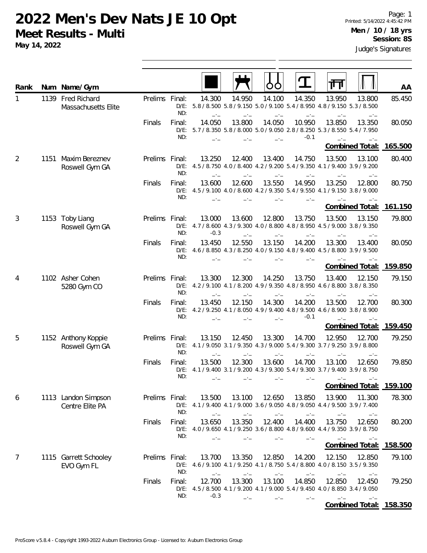**Meet Results - Multi**

| Rank |      | Num Name/Gym                             |                |                          |                                                                                                  |                |                |                      | 帀                                                                                 |                        | AA              |
|------|------|------------------------------------------|----------------|--------------------------|--------------------------------------------------------------------------------------------------|----------------|----------------|----------------------|-----------------------------------------------------------------------------------|------------------------|-----------------|
| 1    |      | 1139 Fred Richard<br>Massachusetts Elite | Prelims Final: | ND:                      | 14.300<br>D/E: 5.8 / 8.500 5.8 / 9.150 5.0 / 9.100 5.4 / 8.950 4.8 / 9.150 5.3 / 8.500           | 14.950         | 14.100         | 14.350               | 13.950                                                                            | 13.800                 | 85.450          |
|      |      |                                          | Finals         | Final:<br>ND:            | 14.050<br>D/E: 5.7 / 8.350 5.8 / 8.000 5.0 / 9.050 2.8 / 8.250 5.3 / 8.550 5.4 / 7.950           | 13.800         | 14.050         | 10.950<br>$-0.1$     | 13.850                                                                            | 13.350                 | 80.050          |
|      |      |                                          |                |                          |                                                                                                  |                |                |                      |                                                                                   | <b>Combined Total:</b> | 165.500         |
| 2    | 1151 | Maxim Bereznev<br>Roswell Gym GA         | Prelims Final: | $D/E$ :<br>ND:           | 13.250<br>4.5 / 8.750 4.0 / 8.400 4.2 / 9.200 5.4 / 9.350 4.1 / 9.400 3.9 / 9.200                | 12.400         | 13.400         | 14.750               | 13.500                                                                            | 13.100                 | 80.400          |
|      |      |                                          | Finals         | Final:<br>$D/E$ :<br>ND: | 13.600<br>4.5 / 9.100 4.0 / 8.600 4.2 / 9.350 5.4 / 9.550 4.1 / 9.150 3.8 / 9.000                | 12.600         | 13.550         | 14.950               | 13.250                                                                            | 12.800                 | 80.750          |
|      |      |                                          |                |                          |                                                                                                  |                |                |                      |                                                                                   | Combined Total:        | <u>161.150</u>  |
| 3    |      | 1153 Toby Liang<br>Roswell Gym GA        | Prelims Final: | ND:                      | 13.000<br>D/E: 4.7 / 8.600 4.3 / 9.300 4.0 / 8.800 4.8 / 8.950 4.5 / 9.000 3.8 / 9.350<br>$-0.3$ | 13.600         | 12.800         | 13.750               | 13.500                                                                            | 13.150                 | 79.800          |
|      |      |                                          | Finals         | Final:<br>$D/E$ :<br>ND: | 13.450<br>4.6 / 8.850 4.3 / 8.250 4.0 / 9.150 4.8 / 9.400 4.5 / 8.800 3.9 / 9.500                | 12.550         | 13.150         | 14.200               | 13.300                                                                            | 13.400                 | 80.050          |
|      |      |                                          |                |                          |                                                                                                  |                |                |                      |                                                                                   | <b>Combined Total:</b> | 159.850         |
| 4    |      | 1102 Asher Cohen<br>5280 Gym CO          | Prelims Final: | $D/E$ :<br>ND:           | 13.300<br>$-1$                                                                                   | 12.300<br>$-1$ | 14.250         | 13.750               | 13.400<br>4.2 / 9.100 4.1 / 8.200 4.9 / 9.350 4.8 / 8.950 4.6 / 8.800 3.8 / 8.350 | 12.150                 | 79.150          |
|      |      |                                          | Finals         | Final:<br>$D/E$ :<br>ND: | 13.450<br>4.2 / 9.250 4.1 / 8.050 4.9 / 9.400 4.8 / 9.500 4.6 / 8.900 3.8 / 8.900                | 12.150         | 14.300         | 14.200<br>$-0.1$     | 13.500                                                                            | 12.700                 | 80.300          |
|      |      |                                          |                |                          |                                                                                                  |                |                |                      |                                                                                   | <b>Combined Total:</b> | 159.450         |
| 5    |      | 1152 Anthony Koppie<br>Roswell Gym GA    | Prelims Final: | $D/E$ :<br>ND:           | 13.150<br>4.1 / 9.050 3.1 / 9.350 4.3 / 9.000 5.4 / 9.300 3.7 / 9.250 3.9 / 8.800<br>$-1$        | 12.450<br>$-1$ | 13.300<br>$-1$ | 14.700               | 12.950                                                                            | 12.700<br>$-1$         | 79.250          |
|      |      |                                          | Finals         | Final:<br>$D/E$ :<br>ND: | 13.500<br>4.1 / 9.400 3.1 / 9.200 4.3 / 9.300 5.4 / 9.300 3.7 / 9.400 3.9 / 8.750                | 12.300<br>-1-  | 13.600         | 14.700<br>— <u>—</u> | 13.100<br>---                                                                     | 12.650                 | 79.850          |
|      |      |                                          |                |                          |                                                                                                  |                |                |                      |                                                                                   | <b>Combined Total:</b> | <u> 159.100</u> |
| 6    |      | 1113 Landon Simpson<br>Centre Elite PA   | Prelims Final: | ND:                      | 13.500<br>D/E: $4.1/9.400$ $4.1/9.000$ $3.6/9.050$ $4.8/9.050$ $4.4/9.500$ $3.9/7.400$           | 13.100         | 12.650         | 13.850               | 13.900                                                                            | 11.300                 | 78.300          |
|      |      |                                          | Finals         | Final:<br>ND:            | 13.650<br>D/E: 4.0 / 9.650 4.1 / 9.250 3.6 / 8.800 4.8 / 9.600 4.4 / 9.350 3.9 / 8.750           | 13.350         | 12.400         | 14.400               | 13.750                                                                            | 12.650                 | 80.200          |
|      |      |                                          |                |                          |                                                                                                  |                |                |                      |                                                                                   | Combined Total:        | 158.500         |
| 7    |      | 1115 Garrett Schooley<br>EVO Gym FL      | Prelims Final: | ND:                      | 13.700<br>D/E: 4.6 / 9.100 4.1 / 9.250 4.1 / 8.750 5.4 / 8.800 4.0 / 8.150 3.5 / 9.350           | 13.350         | 12.850         | 14.200               | 12.150                                                                            | 12.850                 | 79.100          |
|      |      |                                          | Finals         | Final:<br>ND:            | 12.700<br>D/E: 4.5 / 8.500 4.1 / 9.200 4.1 / 9.000 5.4 / 9.450 4.0 / 8.850 3.4 / 9.050<br>$-0.3$ | 13.300         | 13.100         | 14.850               | 12.850                                                                            | 12.450<br>$-1$         | 79.250          |

**Combined Total: 158.350**

**May 14, 2022**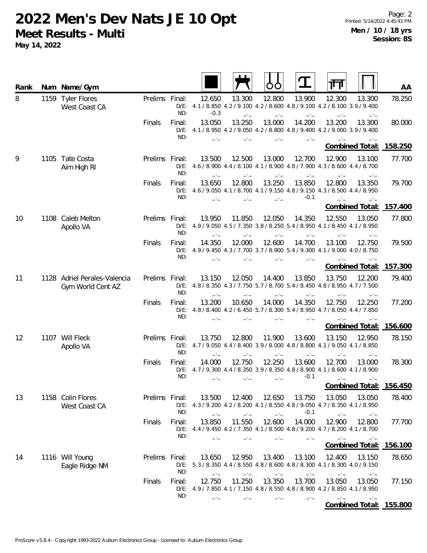| Rank | Num Name/Gym                                      |                |                          |                  |        |        |                  |                                                                                                                  | AA      |
|------|---------------------------------------------------|----------------|--------------------------|------------------|--------|--------|------------------|------------------------------------------------------------------------------------------------------------------|---------|
| 8    | 1159 Tyler Flores<br>West Coast CA                | Prelims Final: | ND:                      | 12.650<br>$-0.3$ | 13.300 | 12.800 | 13.900           | 12.300<br>13.300<br>D/E: 4.1 / 8.850 4.2 / 9.100 4.2 / 8.600 4.8 / 9.100 4.2 / 8.100 3.9 / 9.400<br>$-1$         | 78.250  |
|      |                                                   | Finals         | Final:<br>$D/E$ :<br>ND: | 13.050           | 13.250 | 13.000 | 14.200           | 13.200<br>13.300<br>4.1 / 8.950 4.2 / 9.050 4.2 / 8.800 4.8 / 9.400 4.2 / 9.000 3.9 / 9.400                      | 80.000  |
|      |                                                   |                |                          |                  |        |        |                  | <b>Combined Total:</b>                                                                                           | 158.250 |
| 9    | 1105 Tate Costa<br>Aim High RI                    | Prelims Final: | ND:                      | 13.500           | 12.500 | 13.000 | 12.700           | 12.900<br>13.100<br>D/E: 4.6 / 8.900 4.4 / 8.100 4.1 / 8.900 4.8 / 7.900 4.3 / 8.600 4.4 / 8.700                 | 77.700  |
|      |                                                   | Finals         | Final:<br>ND:            | 13.650           | 12.800 | 13.250 | 13.850<br>$-0.1$ | 12.800<br>13.350<br>D/E: 4.6 / 9.050 4.1 / 8.700 4.1 / 9.150 4.8 / 9.150 4.3 / 8.500 4.4 / 8.950                 | 79.700  |
|      |                                                   |                |                          |                  |        |        |                  | <b>Combined Total:</b>                                                                                           | 157.400 |
| 10   | 1108 Caleb Melton<br>Apollo VA                    | Prelims Final: | ND:                      | 13.950           | 11.850 | 12.050 | 14.350           | 12.550<br>13.050<br>D/E: 4.9/9.050 4.5/7.350 3.8/8.250 5.4/8.950 4.1/8.450 4.1/8.950                             | 77.800  |
|      |                                                   | Finals         | Final:<br>$D/E$ :<br>ND: | 14.350           | 12.000 | 12.600 | 14.700           | 13.100<br>12.750<br>4.9 / 9.450 4.3 / 7.700 3.7 / 8.900 5.4 / 9.300 4.1 / 9.000 4.0 / 8.750                      | 79.500  |
|      |                                                   |                |                          |                  |        |        |                  | Combined Total:                                                                                                  | 157.300 |
| 11   | 1128 Adriel Perales-Valencia<br>Gym World Cent AZ | Prelims Final: | $D/E$ :<br>ND:           | 13.150<br>$-1$   | 12.050 | 14.400 | 13.850           | 13.750<br>12.200<br>4.8 / 8.350 4.3 / 7.750 5.7 / 8.700 5.4 / 8.450 4.8 / 8.950 4.7 / 7.500                      | 79.400  |
|      |                                                   | Finals         | Final:<br>$D/E$ :<br>ND: | 13.200           | 10.650 | 14.000 | 14.350           | 12.750<br>12.250<br>4.8 / 8.400 4.2 / 6.450 5.7 / 8.300 5.4 / 8.950 4.7 / 8.050 4.4 / 7.850                      | 77.200  |
|      |                                                   |                |                          |                  |        |        |                  | <b>Combined Total:</b>                                                                                           | 156.600 |
| 12   | 1107 Will Fleck<br>Apollo VA                      | Prelims Final: | ND:                      | 13.750<br>$-1$   | 12.800 | 11.900 | 13.600           | 13.150<br>12.950<br>D/E: 4.7 / 9.050 4.4 / 8.400 3.9 / 8.000 4.8 / 8.800 4.1 / 9.050 4.1 / 8.850<br>$-1$<br>$-1$ | 78.150  |
|      |                                                   | Finals         | Final:<br>$D/E$ :<br>ND: | 14.000           | 12.750 | 12.250 | 13.600<br>$-0.1$ | 12.700<br>13.000<br>4.7 / 9.300 4.4 / 8.350 3.9 / 8.350 4.8 / 8.900 4.1 / 8.600 4.1 / 8.900<br>- -               | 78.300  |
|      |                                                   |                |                          |                  |        |        |                  | <b>Combined Total:</b>                                                                                           | 156.450 |
| 13   | 1158 Colin Flores<br>West Coast CA                | Prelims Final: | ND:                      | 13.500           | 12.400 | 12.650 | 13.750<br>$-0.1$ | 13.050<br>13.050<br>D/E: 4.3/9.200 4.2/8.200 4.1/8.550 4.8/9.050 4.7/8.350 4.1/8.950                             | 78.400  |
|      |                                                   | Finals         | Final:<br>ND:            | 13.850           | 11.550 | 12.600 | 14.000           | 12.900<br>12.800<br>D/E: 4.4 / 9.450 4.2 / 7.350 4.1 / 8.500 4.8 / 9.200 4.7 / 8.200 4.1 / 8.700                 | 77.700  |
|      |                                                   |                |                          |                  |        |        |                  | Combined Total: 156.100                                                                                          |         |
| 14   | 1116 Will Young<br>Eagle Ridge NM                 | Prelims Final: | ND:                      | 13.650           | 12.950 | 13.400 | 13.100           | 12.400<br>13.150<br>D/E: 5.3 / 8.350 4.4 / 8.550 4.8 / 8.600 4.8 / 8.300 4.1 / 8.300 4.0 / 9.150                 | 78.650  |
|      |                                                   | Finals         | Final:<br>ND:            | 12.750           | 11.250 | 13.350 | 13.700           | 13.050<br>13.050<br>D/E: 4.9 / 7.850 4.1 / 7.150 4.8 / 8.550 4.8 / 8.900 4.2 / 8.850 4.1 / 8.950                 | 77.150  |
|      |                                                   |                |                          |                  |        |        |                  | Combined Total: 155.800                                                                                          |         |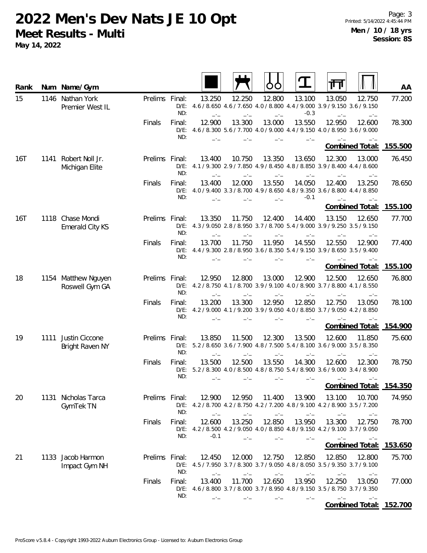| Rank |      | Num Name/Gym                               |                |                          |                  |                |                |                  |                                                                                                                    | AA      |
|------|------|--------------------------------------------|----------------|--------------------------|------------------|----------------|----------------|------------------|--------------------------------------------------------------------------------------------------------------------|---------|
| 15   |      | 1146 Nathan York<br>Premier West IL        | Prelims Final: | ND:                      | 13.250<br>$-1$   | 12.250<br>$-1$ | 12.800<br>$-1$ | 13.100<br>$-0.3$ | 12.750<br>13.050<br>D/E: 4.6 / 8.650 4.6 / 7.650 4.0 / 8.800 4.4 / 9.000 3.9 / 9.150 3.6 / 9.150<br>$-1$<br>$-1$   | 77.200  |
|      |      |                                            | Finals         | Final:<br>$D/E$ :<br>ND: | 12.900           | 13.300         | 13.000         | 13.550<br>$-1$   | 12.950<br>12.600<br>4.6 / 8.300 5.6 / 7.700 4.0 / 9.000 4.4 / 9.150 4.0 / 8.950 3.6 / 9.000                        | 78.300  |
|      |      |                                            |                |                          |                  |                |                |                  | <b>Combined Total:</b>                                                                                             | 155.500 |
| 16T  |      | 1141 Robert Noll Jr.<br>Michigan Elite     | Prelims Final: | ND:                      | 13.400<br>$-1$   | 10.750<br>$-1$ | 13.350         | 13.650<br>$-1$   | 12.300<br>13.000<br>D/E: 4.1 / 9.300 2.9 / 7.850 4.9 / 8.450 4.8 / 8.850 3.9 / 8.400 4.4 / 8.600<br>$-1$<br>$-1$   | 76.450  |
|      |      |                                            | Finals         | Final:<br>ND:            | 13.400<br>$-1$   | 12.000         | 13.550<br>$-1$ | 14.050<br>$-0.1$ | 12.400<br>13.250<br>D/E: 4.0 / 9.400 3.3 / 8.700 4.9 / 8.650 4.8 / 9.350 3.6 / 8.800 4.4 / 8.850<br>$-1$           | 78.650  |
|      |      |                                            |                |                          |                  |                |                |                  | <b>Combined Total:</b>                                                                                             | 155.100 |
| 16T  |      | 1118 Chase Mondi<br><b>Emerald City KS</b> | Prelims Final: | $D/E$ :<br>ND:           | 13.350<br>$-1$   | 11.750         | 12.400         | 14.400           | 13.150<br>12.650<br>4.3 / 9.050 2.8 / 8.950 3.7 / 8.700 5.4 / 9.000 3.9 / 9.250 3.5 / 9.150                        | 77.700  |
|      |      |                                            | Finals         | Final:<br>ND:            | 13.700           | 11.750         | 11.950         | 14.550           | 12.550<br>12.900<br>D/E: 4.4 / 9.300 2.8 / 8.950 3.6 / 8.350 5.4 / 9.150 3.9 / 8.650 3.5 / 9.400                   | 77.400  |
|      |      |                                            |                |                          |                  |                |                |                  | <b>Combined Total:</b>                                                                                             | 155.100 |
| 18   |      | 1154 Matthew Nguyen<br>Roswell Gym GA      | Prelims Final: | $D/E$ :<br>ND:           | 12.950<br>$-1$   | 12.800<br>$-1$ | 13.000         | 12.900<br>$-1$   | 12.500<br>12.650<br>4.2 / 8.750 4.1 / 8.700 3.9 / 9.100 4.0 / 8.900 3.7 / 8.800 4.1 / 8.550<br>$-1$                | 76.800  |
|      |      |                                            | Finals         | Final:<br>$D/E$ :<br>ND: | 13.200           | 13.300         | 12.950         | 12.850           | 12.750<br>13.050<br>4.2 / 9.000 4.1 / 9.200 3.9 / 9.050 4.0 / 8.850 3.7 / 9.050 4.2 / 8.850                        | 78.100  |
|      |      |                                            |                |                          |                  |                |                |                  | Combined Total:                                                                                                    | 154.900 |
| 19   | 1111 | Justin Ciccone<br>Bright Raven NY          | Prelims Final: | ND:                      | 13.850<br>$-1$   | 11.500         | 12.300         | 13.500           | 12.600<br>11.850<br>D/E: $5.2 / 8.650$ 3.6 / 7.900 4.8 / 7.500 5.4 / 8.100 3.6 / 9.000 3.5 / 8.350<br>$-1$<br>$-1$ | 75.600  |
|      |      |                                            | Finals         | Final:<br>ND:            | 13.500           | 12.500         | 13.550         | 14.300           | 12.600<br>12.300<br>D/E: 5.2 / 8.300 4.0 / 8.500 4.8 / 8.750 5.4 / 8.900 3.6 / 9.000 3.4 / 8.900                   | 78.750  |
|      |      |                                            |                |                          |                  |                |                |                  | Combined Total: 154.350                                                                                            |         |
| 20   |      | 1131 Nicholas Tarca<br>GymTek TN           | Prelims Final: | ND:                      | 12.900<br>$-1$   | 12.950<br>$-1$ | 11.400<br>$-1$ | 13.900           | 13.100<br>10.700<br>D/E: 4.2 / 8.700 4.2 / 8.750 4.2 / 7.200 4.8 / 9.100 4.2 / 8.900 3.5 / 7.200<br>—'—            | 74.950  |
|      |      |                                            | Finals         | Final:<br>ND:            | 12.600<br>$-0.1$ | 13.250<br>$-1$ | 12.850         | 13.950<br>$-1$   | 13.300<br>12.750<br>D/E: 4.2 / 8.500 4.2 / 9.050 4.0 / 8.850 4.8 / 9.150 4.2 / 9.100 3.7 / 9.050<br>$-1$<br>$-1$   | 78.700  |
|      |      |                                            |                |                          |                  |                |                |                  | <b>Combined Total:</b>                                                                                             | 153.650 |
| 21   |      | 1133 Jacob Harmon<br>Impact Gym NH         | Prelims Final: | $D/E$ :<br>ND:           | 12.450<br>$-1$   | 12.000         | 12.750         | 12.850           | 12.850<br>12.800<br>4.5 / 7.950 3.7 / 8.300 3.7 / 9.050 4.8 / 8.050 3.5 / 9.350 3.7 / 9.100<br>—'—                 | 75.700  |
|      |      |                                            | Finals         | Final:<br>ND:            | 13.400<br>$-1$   | 11.700         | 12.650         | 13.950<br>$-1$   | 12.250<br>13.050<br>D/E: 4.6 / 8.800 3.7 / 8.000 3.7 / 8.950 4.8 / 9.150 3.5 / 8.750 3.7 / 9.350<br>$-1$<br>$-1$   | 77.000  |
|      |      |                                            |                |                          |                  |                |                |                  | Combined Total: 152.700                                                                                            |         |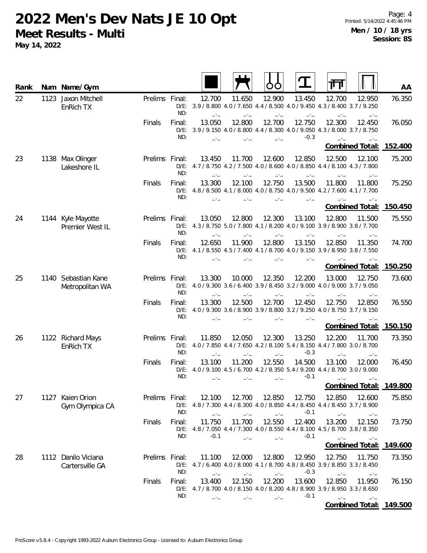| Rank |      | Num Name/Gym                           |                |                          |                  |                | OO                          |                  | ╥                                                                                                        | AA             |
|------|------|----------------------------------------|----------------|--------------------------|------------------|----------------|-----------------------------|------------------|----------------------------------------------------------------------------------------------------------|----------------|
| 22   | 1123 | Jaxon Mitchell<br>EnRich TX            | Prelims Final: | ND:                      | 12.700<br>$-1$   | 11.650<br>$-1$ | 12.900<br>$-1$              | 13.450<br>$-1$   | 12.700<br>12.950<br>D/E: 3.9 / 8.800 4.0 / 7.650 4.4 / 8.500 4.0 / 9.450 4.3 / 8.400 3.7 / 9.250<br>$-1$ | 76.350<br>$-1$ |
|      |      |                                        | Finals         | Final:<br>ND:            | 13.050           | 12.800         | 12.700                      | 12.750<br>$-0.3$ | 12.300<br>12.450<br>D/E: 3.9 / 9.150 4.0 / 8.800 4.4 / 8.300 4.0 / 9.050 4.3 / 8.000 3.7 / 8.750         | 76.050         |
|      |      |                                        |                |                          |                  |                |                             |                  | Combined Total: 152.400                                                                                  |                |
| 23   |      | 1138 Max Olinger<br>Lakeshore IL       | Prelims Final: | $D/E$ :<br>ND:           | 13.450<br>$-1$   | 11.700         | 12.600                      | 12.850           | 12.500<br>12.100<br>4.7 / 8.750 4.2 / 7.500 4.0 / 8.600 4.0 / 8.850 4.4 / 8.100 4.3 / 7.800              | 75.200         |
|      |      |                                        | Finals         | Final:<br>ND:            | 13.300<br>$-1$   | 12.100         | 12.750                      | 13.500<br>$-1$   | 11.800<br>11.800<br>D/E: 4.8 / 8.500 4.1 / 8.000 4.0 / 8.750 4.0 / 9.500 4.2 / 7.600 4.1 / 7.700         | 75.250         |
|      |      |                                        |                |                          |                  |                |                             |                  | Combined Total: 150.450                                                                                  |                |
| 24   |      | 1144 Kyle Mayotte<br>Premier West IL   | Prelims Final: | $D/E$ :<br>ND:           | 13.050<br>$-1$   | 12.800         | 12.300                      | 13.100           | 12.800<br>11.500<br>4.3 / 8.750 5.0 / 7.800 4.1 / 8.200 4.0 / 9.100 3.9 / 8.900 3.8 / 7.700              | 75.550         |
|      |      |                                        | Finals         | Final:<br>$D/E$ :<br>ND: | 12.650           | 11.900         | 12.800                      | 13.150           | 12.850<br>11.350<br>4.1 / 8.550 4.5 / 7.400 4.1 / 8.700 4.0 / 9.150 3.9 / 8.950 3.8 / 7.550              | 74.700         |
|      |      |                                        |                |                          |                  |                |                             |                  | Combined Total: 150.250                                                                                  |                |
| 25   |      | 1140 Sebastian Kane<br>Metropolitan WA | Prelims Final: | ND:                      | 13.300<br>$-1$   | 10.000         | 12.350                      | 12.200           | 13.000<br>12.750<br>D/E: 4.0 / 9.300 3.6 / 6.400 3.9 / 8.450 3.2 / 9.000 4.0 / 9.000 3.7 / 9.050         | 73.600<br>$-1$ |
|      |      |                                        | Finals         | Final:<br>$D/E$ :<br>ND: | 13.300           | 12.500         | 12.700                      | 12.450           | 12.750<br>12.850<br>4.0/9.300 3.6/8.900 3.9/8.800 3.2/9.250 4.0/8.750 3.7/9.150                          | 76.550         |
|      |      |                                        |                |                          |                  |                |                             |                  | Combined Total:                                                                                          | 150.150        |
| 26   |      | 1122 Richard Mays<br>EnRich TX         | Prelims Final: | ND:                      | 11.850<br>$-1$   | 12.050         | 12.300                      | 13.250<br>$-0.3$ | 12.200<br>11.700<br>D/E: 4.0 / 7.850 4.4 / 7.650 4.2 / 8.100 5.4 / 8.150 4.4 / 7.800 3.0 / 8.700<br>$-1$ | 73.350         |
|      |      |                                        | Finals         | Final:<br>ND:            | 13.100           | 11.200         | 12.550                      | 14.500<br>$-0.1$ | 13.100<br>12.000<br>D/E: 4.0 / 9.100 4.5 / 6.700 4.2 / 8.350 5.4 / 9.200 4.4 / 8.700 3.0 / 9.000         | 76.450<br>$-1$ |
|      |      |                                        |                |                          |                  |                |                             |                  | Combined Total:                                                                                          | 149.800        |
| 27   |      | 1127 Kaien Orion<br>Gym Olympica CA    | Prelims Final: | ND:                      | 12.100<br>$-1$   | 12.700<br>$-1$ | 12.850<br>$-1$              | 12.750<br>$-0.1$ | 12.850<br>12.600<br>D/E: 4.8 / 7.300 4.4 / 8.300 4.0 / 8.850 4.4 / 8.450 4.4 / 8.450 3.7 / 8.900<br>$-1$ | 75.850         |
|      |      |                                        | Finals         | Final:<br>ND:            | 11.750<br>$-0.1$ | 11.700<br>$-1$ | 12.550<br>$\rightarrow$ $-$ | 12.400<br>$-0.1$ | 13.200<br>12.150<br>D/E: 4.8 / 7.050 4.4 / 7.300 4.0 / 8.550 4.4 / 8.100 4.5 / 8.700 3.8 / 8.350<br>$-1$ | 73.750<br>$-1$ |
|      |      |                                        |                |                          |                  |                |                             |                  | Combined Total: 149.600                                                                                  |                |
| 28   |      | 1112 Danilo Viciana<br>Cartersville GA | Prelims Final: | ND:                      | 11.100<br>$-1$   | 12.000<br>$-1$ | 12.800<br>$-1$              | 12.950<br>$-0.3$ | 12.750<br>11.750<br>D/E: 4.7 / 6.400 4.0 / 8.000 4.1 / 8.700 4.8 / 8.450 3.9 / 8.850 3.3 / 8.450<br>$-1$ | 73.350<br>$-1$ |
|      |      |                                        | Finals         | Final:<br>ND:            | 13.400<br>$-1$   | 12.150         | 12.200<br>$-1$              | 13.600<br>$-0.1$ | 12.850<br>11.950<br>D/E: 4.7 / 8.700 4.0 / 8.150 4.0 / 8.200 4.8 / 8.900 3.9 / 8.950 3.3 / 8.650<br>$-1$ | 76.150<br>$-1$ |
|      |      |                                        |                |                          |                  |                |                             |                  | Combined Total: 149.500                                                                                  |                |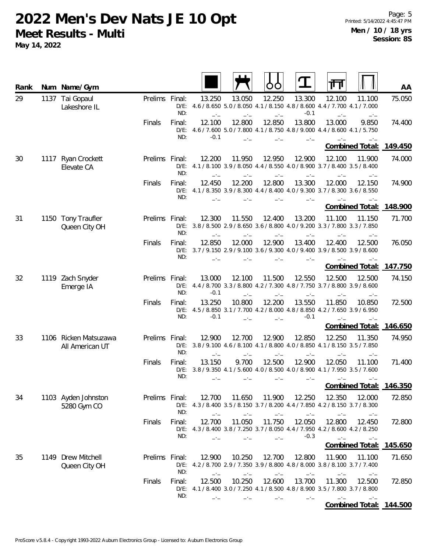| Rank |      | Num Name/Gym                        |                |                          |                  |                |                |                  | Щ                                                                                                          | AA      |
|------|------|-------------------------------------|----------------|--------------------------|------------------|----------------|----------------|------------------|------------------------------------------------------------------------------------------------------------|---------|
| 29   |      | 1137 Tai Gopaul<br>Lakeshore IL     | Prelims Final: | $D/E$ :<br>ND:           | 13.250<br>$-1$   | 13.050<br>$-1$ | 12.250         | 13.300<br>$-0.1$ | 12.100<br>11.100<br>4.6 / 8.650 5.0 / 8.050 4.1 / 8.150 4.8 / 8.600 4.4 / 7.700 4.1 / 7.000<br>$-1$<br>—*— | 75.050  |
|      |      |                                     | Finals         | Final:<br>$D/E$ :<br>ND: | 12.100<br>$-0.1$ | 12.800         | 12.850         | 13.800           | 13.000<br>9.850<br>4.6 / 7.600 5.0 / 7.800 4.1 / 8.750 4.8 / 9.000 4.4 / 8.600 4.1 / 5.750                 | 74.400  |
|      |      |                                     |                |                          |                  |                |                |                  | <b>Combined Total:</b>                                                                                     | 149.450 |
| 30   |      | 1117 Ryan Crockett<br>Elevate CA    | Prelims Final: | ND:                      | 12.200           | 11.950         | 12.950         | 12.900           | 12.100<br>11.900<br>D/E: $4.1/8.100$ 3.9/8.050 $4.4/8.550$ 4.0/8.900 3.7/8.400 3.5/8.400                   | 74.000  |
|      |      |                                     | Finals         | Final:<br>ND:            | 12.450           | 12.200         | 12.800         | 13.300           | 12.000<br>12.150<br>D/E: 4.1 / 8.350 3.9 / 8.300 4.4 / 8.400 4.0 / 9.300 3.7 / 8.300 3.6 / 8.550           | 74.900  |
|      |      |                                     |                |                          |                  |                |                |                  | <b>Combined Total:</b>                                                                                     | 148.900 |
| 31   |      | 1150 Tony Traufler<br>Queen City OH | Prelims Final: | ND:                      | 12.300           | 11.550         | 12.400         | 13.200           | 11.100<br>11.150<br>D/E: 3.8 / 8.500 2.9 / 8.650 3.6 / 8.800 4.0 / 9.200 3.3 / 7.800 3.3 / 7.850           | 71.700  |
|      |      |                                     | Finals         | Final:<br>$D/E$ :<br>ND: | 12.850           | 12.000         | 12.900         | 13.400           | 12.400<br>12.500<br>3.7/9.150 2.9/9.100 3.6/9.300 4.0/9.400 3.9/8.500 3.9/8.600                            | 76.050  |
|      |      |                                     |                |                          |                  |                |                |                  | Combined Total:                                                                                            | 147.750 |
| 32   |      | 1119 Zach Snyder<br>Emerge IA       | Prelims        | Final:<br>$D/E$ :<br>ND: | 13.000<br>$-0.1$ | 12.100<br>$-1$ | 11.500<br>$-1$ | 12.550<br>$-1$   | 12.500<br>12.500<br>4.4 / 8.700 3.3 / 8.800 4.2 / 7.300 4.8 / 7.750 3.7 / 8.800 3.9 / 8.600                | 74.150  |
|      |      |                                     | Finals         | Final:<br>$D/E$ :<br>ND: | 13.250<br>$-0.1$ | 10.800         | 12.200         | 13.550<br>$-0.1$ | 11.850<br>10.850<br>4.5 / 8.850 3.1 / 7.700 4.2 / 8.000 4.8 / 8.850 4.2 / 7.650 3.9 / 6.950<br>$-1$        | 72.500  |
|      |      |                                     |                |                          |                  |                |                |                  | <b>Combined Total:</b>                                                                                     | 146.650 |
| 33   | 1106 | Ricken Matsuzawa<br>All American UT | Prelims Final: | $D/E$ :<br>ND:           | 12.900<br>$-1$   | 12.700         | 12.900         | 12.850<br>$-1$   | 12.250<br>11.350<br>3.8 / 9.100 4.6 / 8.100 4.1 / 8.800 4.0 / 8.850 4.1 / 8.150 3.5 / 7.850<br>$-1$        | 74.950  |
|      |      |                                     | Finals         | Final:<br>$D/E$ :<br>ND: | 13.150           | 9.700          | 12.500         | 12.900<br>$-1$   | 12.050<br>11.100<br>3.8/9.350 4.1/5.600 4.0/8.500 4.0/8.900 4.1/7.950 3.5/7.600<br>$-1$                    | 71.400  |
|      |      |                                     |                |                          |                  |                |                |                  | <b>Combined Total:</b>                                                                                     | 146.350 |
| 34   |      | 1103 Ayden Johnston<br>5280 Gym CO  | Prelims Final: | ND:                      | 12.700           | 11.650         | 11.900         | 12.250           | 12.350<br>12.000<br>D/E: 4.3 / 8.400 3.5 / 8.150 3.7 / 8.200 4.4 / 7.850 4.2 / 8.150 3.7 / 8.300           | 72.850  |
|      |      |                                     | Finals         | Final:<br>ND:            | 12.700           | 11.050         | 11.750         | 12.050<br>$-0.3$ | 12.800<br>12.450<br>D/E: 4.3 / 8.400 3.8 / 7.250 3.7 / 8.050 4.4 / 7.950 4.2 / 8.600 4.2 / 8.250<br>$-1$   | 72.800  |
|      |      |                                     |                |                          |                  |                |                |                  | Combined Total:                                                                                            | 145.650 |
| 35   |      | 1149 Drew Mitchell<br>Queen City OH | Prelims Final: | $D/E$ :<br>ND:           | 12.900           | 10.250         | 12.700         | 12.800           | 11.900<br>11.100<br>4.2 / 8.700 2.9 / 7.350 3.9 / 8.800 4.8 / 8.000 3.8 / 8.100 3.7 / 7.400                | 71.650  |
|      |      |                                     | Finals         | Final:<br>ND:            | 12.500           | 10.250         | 12.600         | 13.700           | 11.300<br>12.500<br>D/E: 4.1 / 8.400 3.0 / 7.250 4.1 / 8.500 4.8 / 8.900 3.5 / 7.800 3.7 / 8.800           | 72.850  |
|      |      |                                     |                |                          |                  |                |                |                  | Combined Total: 144.500                                                                                    |         |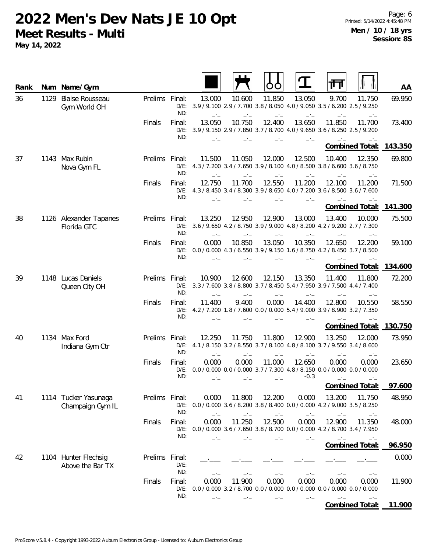| Rank |      | Num Name/Gym                             |                |                          |                |                |                |                  |                                                                                                               | AA      |
|------|------|------------------------------------------|----------------|--------------------------|----------------|----------------|----------------|------------------|---------------------------------------------------------------------------------------------------------------|---------|
| 36   | 1129 | <b>Blaise Rousseau</b><br>Gym World OH   | Prelims Final: | ND:                      | 13.000         | 10.600         | 11.850         | 13.050           | 9.700<br>11.750<br>D/E: 3.9 / 9.100 2.9 / 7.700 3.8 / 8.050 4.0 / 9.050 3.5 / 6.200 2.5 / 9.250               | 69.950  |
|      |      |                                          | Finals         | Final:<br>ND:            | 13.050         | 10.750         | 12.400         | 13.650           | 11.850<br>11.700<br>D/E: 3.9 / 9.150 2.9 / 7.850 3.7 / 8.700 4.0 / 9.650 3.6 / 8.250 2.5 / 9.200              | 73.400  |
|      |      |                                          |                |                          |                |                |                |                  | <b>Combined Total:</b>                                                                                        | 143.350 |
| 37   |      | 1143 Max Rubin<br>Nova Gym FL            | Prelims Final: | $D/E$ :<br>ND:           | 11.500         | 11.050         | 12.000         | 12.500           | 10.400<br>12.350<br>4.3/7.200 3.4/7.650 3.9/8.100 4.0/8.500 3.8/6.600 3.6/8.750                               | 69.800  |
|      |      |                                          | Finals         | Final:<br>ND:            | 12.750         | 11.700         | 12.550         | 11.200           | 12.100<br>11.200<br>D/E: 4.3 / 8.450 3.4 / 8.300 3.9 / 8.650 4.0 / 7.200 3.6 / 8.500 3.6 / 7.600              | 71.500  |
|      |      |                                          |                |                          |                |                |                |                  | <b>Combined Total:</b>                                                                                        | 141.300 |
| 38   |      | 1126 Alexander Tapanes<br>Florida GTC    | Prelims Final: | ND:                      | 13.250         | 12.950         | 12.900         | 13.000<br>$-1$   | 13.400<br>10.000<br>D/E: 3.6 / 9.650 4.2 / 8.750 3.9 / 9.000 4.8 / 8.200 4.2 / 9.200 2.7 / 7.300              | 75.500  |
|      |      |                                          | Finals         | Final:<br>D/E:<br>ND:    | 0.000          | 10.850         | 13.050         | 10.350           | 12.650<br>12.200<br>0.0 / 0.000 4.3 / 6.550 3.9 / 9.150 1.6 / 8.750 4.2 / 8.450 3.7 / 8.500                   | 59.100  |
|      |      |                                          |                |                          |                |                |                |                  | <b>Combined Total:</b>                                                                                        | 134.600 |
| 39   |      | 1148 Lucas Daniels<br>Queen City OH      | <b>Prelims</b> | Final:<br>ND:            | 10.900<br>$-1$ | 12.600<br>$-1$ | 12.150<br>$-1$ | 13.350<br>$-1$   | 11.400<br>11.800<br>D/E: 3.3 / 7.600 3.8 / 8.800 3.7 / 8.450 5.4 / 7.950 3.9 / 7.500 4.4 / 7.400<br>$-1$      | 72.200  |
|      |      |                                          | Finals         | Final:<br>D/E:<br>ND:    | 11.400         | 9.400          | 0.000          | 14.400           | 10.550<br>12.800<br>4.2 / 7.200 1.8 / 7.600 0.0 / 0.000 5.4 / 9.000 3.9 / 8.900 3.2 / 7.350                   | 58.550  |
|      |      |                                          |                |                          |                |                |                |                  | <b>Combined Total:</b>                                                                                        | 130.750 |
| 40   |      | 1134 Max Ford<br>Indiana Gym Ctr         | Prelims        | Final:<br>$D/E$ :<br>ND: | 12.250<br>$-1$ | 11.750         | 11.800         | 12.900<br>$-1$   | 13.250<br>12.000<br>4.1 / 8.150 3.2 / 8.550 3.7 / 8.100 4.8 / 8.100 3.7 / 9.550 3.4 / 8.600<br>$-1$<br>$-1$   | 73.950  |
|      |      |                                          | Finals         | Final:<br>$D/E$ :<br>ND: | 0.000          | 0.000<br>$-1$  | 11.000<br>$-1$ | 12.650<br>$-0.3$ | 0.000<br>0.000<br>0.0 / 0.000 0.0 / 0.000 3.7 / 7.300 4.8 / 8.150 0.0 / 0.000 0.0 / 0.000<br>$-1$<br>$-1$     | 23.650  |
|      |      |                                          |                |                          |                |                |                |                  | Combined Total:                                                                                               | 97.600  |
| 41   |      | 1114 Tucker Yasunaga<br>Champaign Gym IL | Prelims Final: | ND:                      | 0.000          | 11.800         | 12.200         | 0.000            | 13.200<br>11.750<br>D/E: 0.0 / 0.000 3.6 / 8.200 3.8 / 8.400 0.0 / 0.000 4.2 / 9.000 3.5 / 8.250<br>—*—       | 48.950  |
|      |      |                                          | Finals         | Final:<br>ND:            | 0.000          | 11.250         | 12.500         | 0.000            | 12.900<br>11.350<br>D/E: 0.0 / 0.000 3.6 / 7.650 3.8 / 8.700 0.0 / 0.000 4.2 / 8.700 3.4 / 7.950              | 48.000  |
|      |      |                                          |                |                          |                |                |                |                  | <b>Combined Total:</b>                                                                                        | 96.950  |
| 42   |      | 1104 Hunter Flechsig<br>Above the Bar TX | Prelims Final: | $D/E$ :<br>ND:           |                |                |                |                  |                                                                                                               | 0.000   |
|      |      |                                          | Finals         | Final:<br>$D/E$ :<br>ND: | 0.000          | 11.900         | 0.000          | 0.000            | 0.000<br>0.000<br>$0.0 / 0.000$ 3.2 $/ 8.700$ 0.0 $/ 0.000$ 0.0 $/ 0.000$ 0.0 $/ 0.000$ 0.0 $/ 0.000$<br>$-1$ | 11.900  |
|      |      |                                          |                |                          |                |                |                |                  | <b>Combined Total:</b>                                                                                        | 11.900  |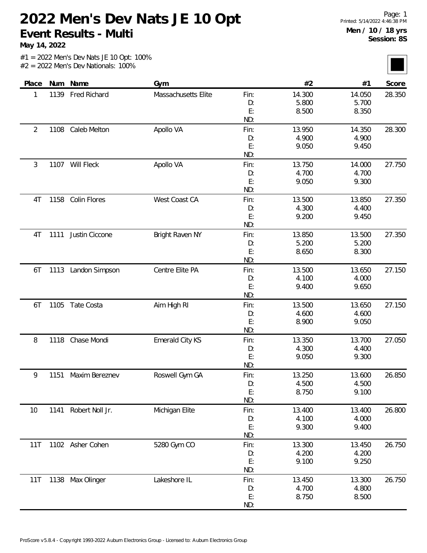**May 14, 2022**

|  |  | $#1 = 2022$ Men's Dev Nats JE 10 Opt: 100% |  |
|--|--|--------------------------------------------|--|
|  |  | $#2 = 2022$ Men's Dev Nationals: 100%      |  |

| Place          |      | Num Name            | Gym                    |      | #2     | #1     | Score  |
|----------------|------|---------------------|------------------------|------|--------|--------|--------|
| 1              | 1139 | <b>Fred Richard</b> | Massachusetts Elite    | Fin: | 14.300 | 14.050 | 28.350 |
|                |      |                     |                        | D:   | 5.800  | 5.700  |        |
|                |      |                     |                        | E:   | 8.500  | 8.350  |        |
|                |      |                     |                        | ND:  |        |        |        |
| $\overline{2}$ | 1108 | Caleb Melton        | Apollo VA              | Fin: | 13.950 | 14.350 | 28.300 |
|                |      |                     |                        | D:   | 4.900  | 4.900  |        |
|                |      |                     |                        | E:   | 9.050  | 9.450  |        |
|                |      |                     |                        | ND:  |        |        |        |
| 3              |      | 1107 Will Fleck     | Apollo VA              | Fin: | 13.750 | 14.000 | 27.750 |
|                |      |                     |                        | D:   | 4.700  | 4.700  |        |
|                |      |                     |                        | E:   | 9.050  | 9.300  |        |
|                |      |                     |                        | ND:  |        |        |        |
| 4T             | 1158 | Colin Flores        | West Coast CA          | Fin: | 13.500 | 13.850 | 27.350 |
|                |      |                     |                        | D:   | 4.300  | 4.400  |        |
|                |      |                     |                        | E:   | 9.200  | 9.450  |        |
|                |      |                     |                        | ND:  |        |        |        |
| 4T             | 1111 | Justin Ciccone      | <b>Bright Raven NY</b> | Fin: | 13.850 | 13.500 | 27.350 |
|                |      |                     |                        | D:   | 5.200  | 5.200  |        |
|                |      |                     |                        | E:   | 8.650  | 8.300  |        |
|                |      |                     |                        | ND:  |        |        |        |
| 6T             | 1113 | Landon Simpson      | Centre Elite PA        | Fin: | 13.500 | 13.650 | 27.150 |
|                |      |                     |                        | D:   | 4.100  | 4.000  |        |
|                |      |                     |                        | E:   | 9.400  | 9.650  |        |
|                |      |                     |                        | ND:  |        |        |        |
| 6T             | 1105 | Tate Costa          | Aim High RI            | Fin: | 13.500 | 13.650 | 27.150 |
|                |      |                     |                        | D:   | 4.600  | 4.600  |        |
|                |      |                     |                        | E:   | 8.900  | 9.050  |        |
|                |      |                     |                        | ND:  |        |        |        |
| 8              | 1118 | Chase Mondi         | Emerald City KS        | Fin: | 13.350 | 13.700 | 27.050 |
|                |      |                     |                        | D:   | 4.300  | 4.400  |        |
|                |      |                     |                        | E:   | 9.050  | 9.300  |        |
|                |      |                     |                        | ND:  |        |        |        |
| 9              | 1151 | Maxim Bereznev      | Roswell Gym GA         | Fin: | 13.250 | 13.600 | 26.850 |
|                |      |                     |                        | D:   | 4.500  | 4.500  |        |
|                |      |                     |                        | E:   | 8.750  | 9.100  |        |
|                |      |                     |                        | ND:  |        |        |        |
| 10             | 1141 | Robert Noll Jr.     | Michigan Elite         | Fin: | 13.400 | 13.400 | 26.800 |
|                |      |                     |                        | D:   | 4.100  | 4.000  |        |
|                |      |                     |                        | E:   | 9.300  | 9.400  |        |
|                |      |                     |                        | ND:  |        |        |        |
| 11T            |      | 1102 Asher Cohen    | 5280 Gym CO            | Fin: | 13.300 | 13.450 | 26.750 |
|                |      |                     |                        | D:   | 4.200  | 4.200  |        |
|                |      |                     |                        | E:   | 9.100  | 9.250  |        |
|                |      |                     |                        | ND:  |        |        |        |
| 11T            |      | 1138 Max Olinger    | Lakeshore IL           | Fin: | 13.450 | 13.300 | 26.750 |
|                |      |                     |                        | D:   | 4.700  | 4.800  |        |
|                |      |                     |                        | E:   | 8.750  | 8.500  |        |
|                |      |                     |                        | ND:  |        |        |        |
|                |      |                     |                        |      |        |        |        |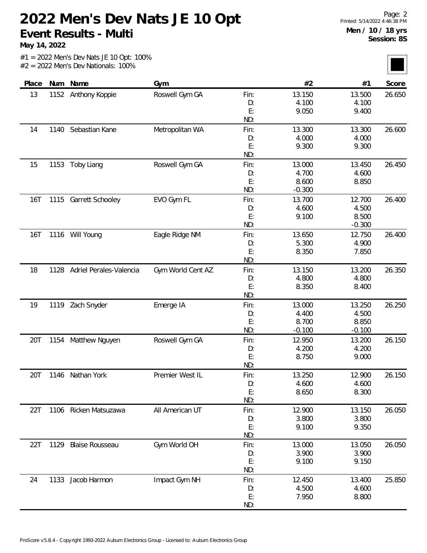**May 14, 2022**

| Place      |      | Num Name                     | Gym               |          | #2              | #1              | Score  |
|------------|------|------------------------------|-------------------|----------|-----------------|-----------------|--------|
| 13         |      | 1152 Anthony Koppie          | Roswell Gym GA    | Fin:     | 13.150          | 13.500          | 26.650 |
|            |      |                              |                   | D:       | 4.100           | 4.100           |        |
|            |      |                              |                   | E:       | 9.050           | 9.400           |        |
|            |      |                              |                   | ND:      |                 |                 |        |
| 14         | 1140 | Sebastian Kane               | Metropolitan WA   | Fin:     | 13.300          | 13.300          | 26.600 |
|            |      |                              |                   | D:       | 4.000           | 4.000           |        |
|            |      |                              |                   | E:       | 9.300           | 9.300           |        |
|            |      |                              |                   | ND:      |                 |                 |        |
| 15         | 1153 | Toby Liang                   | Roswell Gym GA    | Fin:     | 13.000          | 13.450          | 26.450 |
|            |      |                              |                   | D:       | 4.700           | 4.600           |        |
|            |      |                              |                   | E:       | 8.600           | 8.850           |        |
|            |      |                              |                   | ND:      | $-0.300$        |                 |        |
| 16T        |      | 1115 Garrett Schooley        | EVO Gym FL        | Fin:     | 13.700          | 12.700          | 26.400 |
|            |      |                              |                   | D:       | 4.600           | 4.500           |        |
|            |      |                              |                   | E:       | 9.100           | 8.500           |        |
|            |      |                              |                   | ND:      |                 | $-0.300$        |        |
| <b>16T</b> |      | 1116 Will Young              | Eagle Ridge NM    | Fin:     | 13.650          | 12.750          | 26.400 |
|            |      |                              |                   | D:       | 5.300           | 4.900           |        |
|            |      |                              |                   | E:       | 8.350           | 7.850           |        |
|            |      |                              |                   | ND:      |                 |                 |        |
| 18         |      | 1128 Adriel Perales-Valencia | Gym World Cent AZ | Fin:     | 13.150          | 13.200          | 26.350 |
|            |      |                              |                   | D:       | 4.800           | 4.800           |        |
|            |      |                              |                   | E:       | 8.350           | 8.400           |        |
|            |      |                              |                   | ND:      |                 |                 |        |
| 19         | 1119 | Zach Snyder                  | Emerge IA         | Fin:     | 13.000          | 13.250          | 26.250 |
|            |      |                              |                   | D:       | 4.400           | 4.500           |        |
|            |      |                              |                   | E:       | 8.700           | 8.850           |        |
|            |      |                              |                   | ND:      | $-0.100$        | $-0.100$        |        |
| 20T        | 1154 | Matthew Nguyen               | Roswell Gym GA    | Fin:     | 12.950          | 13.200          | 26.150 |
|            |      |                              |                   | D:       | 4.200           | 4.200           |        |
|            |      |                              |                   | E:       | 8.750           | 9.000           |        |
|            |      |                              |                   | ND:      |                 |                 |        |
| 20T        |      | 1146 Nathan York             | Premier West IL   | Fin:     | 13.250          | 12.900          | 26.150 |
|            |      |                              |                   | D:       | 4.600           | 4.600           |        |
|            |      |                              |                   | E:       | 8.650           | 8.300           |        |
|            |      |                              |                   | ND:      |                 |                 |        |
| 22T        |      | 1106 Ricken Matsuzawa        | All American UT   | Fin:     | 12.900          | 13.150          | 26.050 |
|            |      |                              |                   | D:       | 3.800           | 3.800           |        |
|            |      |                              |                   | E:       | 9.100           | 9.350           |        |
|            |      |                              |                   | ND:      |                 |                 |        |
| 22T        | 1129 | <b>Blaise Rousseau</b>       | Gym World OH      | Fin:     | 13.000<br>3.900 | 13.050<br>3.900 | 26.050 |
|            |      |                              |                   | D:<br>E: | 9.100           | 9.150           |        |
|            |      |                              |                   | ND:      |                 |                 |        |
|            |      |                              |                   |          |                 |                 |        |
| 24         | 1133 | Jacob Harmon                 | Impact Gym NH     | Fin:     | 12.450          | 13.400          | 25.850 |
|            |      |                              |                   | D:<br>E: | 4.500<br>7.950  | 4.600<br>8.800  |        |
|            |      |                              |                   | ND:      |                 |                 |        |
|            |      |                              |                   |          |                 |                 |        |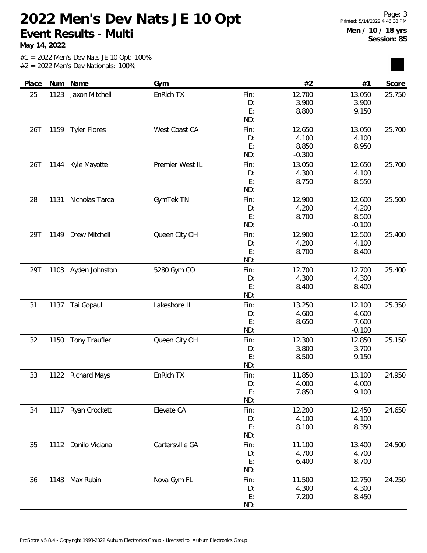**May 14, 2022**

| Place |      | Num Name             | Gym             |      | #2       | #1       | Score  |
|-------|------|----------------------|-----------------|------|----------|----------|--------|
| 25    | 1123 | Jaxon Mitchell       | EnRich TX       | Fin: | 12.700   | 13.050   | 25.750 |
|       |      |                      |                 | D:   | 3.900    | 3.900    |        |
|       |      |                      |                 | E:   | 8.800    | 9.150    |        |
|       |      |                      |                 | ND:  |          |          |        |
| 26T   | 1159 | <b>Tyler Flores</b>  | West Coast CA   | Fin: | 12.650   | 13.050   | 25.700 |
|       |      |                      |                 | D:   | 4.100    | 4.100    |        |
|       |      |                      |                 | E:   | 8.850    | 8.950    |        |
|       |      |                      |                 | ND:  | $-0.300$ |          |        |
| 26T   | 1144 | Kyle Mayotte         | Premier West IL | Fin: | 13.050   | 12.650   | 25.700 |
|       |      |                      |                 | D:   | 4.300    | 4.100    |        |
|       |      |                      |                 | E:   | 8.750    | 8.550    |        |
|       |      |                      |                 | ND:  |          |          |        |
| 28    | 1131 | Nicholas Tarca       | GymTek TN       | Fin: | 12.900   | 12.600   | 25.500 |
|       |      |                      |                 | D:   | 4.200    | 4.200    |        |
|       |      |                      |                 | E:   | 8.700    | 8.500    |        |
|       |      |                      |                 | ND:  |          | $-0.100$ |        |
| 29T   | 1149 | Drew Mitchell        | Queen City OH   | Fin: | 12.900   | 12.500   | 25.400 |
|       |      |                      |                 | D:   | 4.200    | 4.100    |        |
|       |      |                      |                 | E:   | 8.700    | 8.400    |        |
|       |      |                      |                 | ND:  |          |          |        |
| 29T   |      | 1103 Ayden Johnston  | 5280 Gym CO     | Fin: | 12.700   | 12.700   | 25.400 |
|       |      |                      |                 | D:   | 4.300    | 4.300    |        |
|       |      |                      |                 | E:   | 8.400    | 8.400    |        |
|       |      |                      |                 | ND:  |          |          |        |
| 31    | 1137 | Tai Gopaul           | Lakeshore IL    | Fin: | 13.250   | 12.100   | 25.350 |
|       |      |                      |                 | D:   | 4.600    | 4.600    |        |
|       |      |                      |                 | E:   | 8.650    | 7.600    |        |
|       |      |                      |                 | ND:  |          | $-0.100$ |        |
| 32    | 1150 | <b>Tony Traufler</b> | Queen City OH   | Fin: | 12.300   | 12.850   | 25.150 |
|       |      |                      |                 | D:   | 3.800    | 3.700    |        |
|       |      |                      |                 | E:   | 8.500    | 9.150    |        |
|       |      |                      |                 | ND:  |          |          |        |
| 33    | 1122 | <b>Richard Mays</b>  | EnRich TX       | Fin: | 11.850   | 13.100   | 24.950 |
|       |      |                      |                 | D:   | 4.000    | 4.000    |        |
|       |      |                      |                 | E:   | 7.850    | 9.100    |        |
|       |      |                      |                 | ND:  |          |          |        |
| 34    |      | 1117 Ryan Crockett   | Elevate CA      | Fin: | 12.200   | 12.450   | 24.650 |
|       |      |                      |                 | D:   | 4.100    | 4.100    |        |
|       |      |                      |                 | E:   | 8.100    | 8.350    |        |
|       |      |                      |                 | ND:  |          |          |        |
| 35    | 1112 | Danilo Viciana       | Cartersville GA | Fin: | 11.100   | 13.400   | 24.500 |
|       |      |                      |                 | D:   | 4.700    | 4.700    |        |
|       |      |                      |                 | E:   | 6.400    | 8.700    |        |
|       |      |                      |                 | ND:  |          |          |        |
| 36    |      | 1143 Max Rubin       | Nova Gym FL     | Fin: | 11.500   | 12.750   | 24.250 |
|       |      |                      |                 | D:   | 4.300    | 4.300    |        |
|       |      |                      |                 | E:   | 7.200    | 8.450    |        |
|       |      |                      |                 | ND:  |          |          |        |
|       |      |                      |                 |      |          |          |        |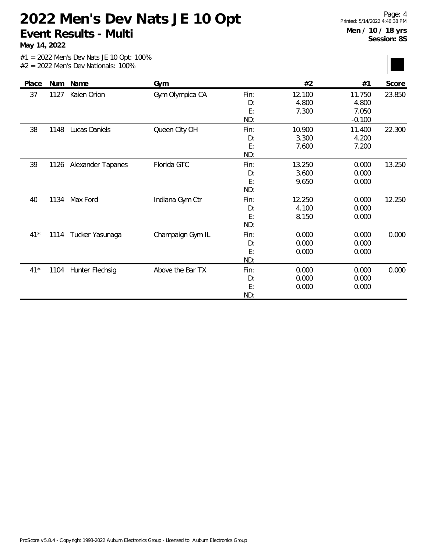**May 14, 2022**

| Place | Num  | Name              | Gym              |                                | #2                       | #1                                   | Score  |
|-------|------|-------------------|------------------|--------------------------------|--------------------------|--------------------------------------|--------|
| 37    | 1127 | Kaien Orion       | Gym Olympica CA  | Fin:<br>D:<br>E:               | 12.100<br>4.800<br>7.300 | 11.750<br>4.800<br>7.050             | 23.850 |
| 38    | 1148 | Lucas Daniels     | Queen City OH    | ND:<br>Fin:<br>D:<br>E:<br>ND: | 10.900<br>3.300<br>7.600 | $-0.100$<br>11.400<br>4.200<br>7.200 | 22.300 |
| 39    | 1126 | Alexander Tapanes | Florida GTC      | Fin:<br>D:<br>E:<br>ND:        | 13.250<br>3.600<br>9.650 | 0.000<br>0.000<br>0.000              | 13.250 |
| 40    | 1134 | Max Ford          | Indiana Gym Ctr  | Fin:<br>D:<br>E:<br>ND:        | 12.250<br>4.100<br>8.150 | 0.000<br>0.000<br>0.000              | 12.250 |
| $41*$ | 1114 | Tucker Yasunaga   | Champaign Gym IL | Fin:<br>D:<br>E:<br>ND:        | 0.000<br>0.000<br>0.000  | 0.000<br>0.000<br>0.000              | 0.000  |
| $41*$ | 1104 | Hunter Flechsig   | Above the Bar TX | Fin:<br>D:<br>E:<br>ND:        | 0.000<br>0.000<br>0.000  | 0.000<br>0.000<br>0.000              | 0.000  |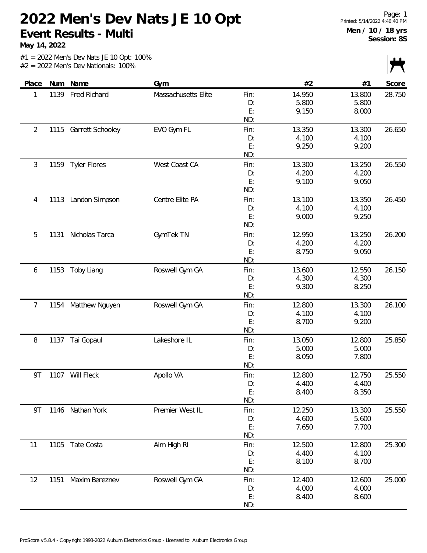**May 14, 2022**

|  |  | $#1 = 2022$ Men's Dev Nats JE 10 Opt: 100% |  |  |
|--|--|--------------------------------------------|--|--|
|  |  | $#2 = 2022$ Men's Dev Nationals: 100%      |  |  |

| Place          | Num  | Name                | Gym                 |           | #2             | #1             | $\mathbf{r}$<br>Score |
|----------------|------|---------------------|---------------------|-----------|----------------|----------------|-----------------------|
| 1              | 1139 | Fred Richard        | Massachusetts Elite | Fin:      | 14.950         | 13.800         | 28.750                |
|                |      |                     |                     | D:        | 5.800          | 5.800          |                       |
|                |      |                     |                     | E:        | 9.150          | 8.000          |                       |
|                |      |                     |                     | ND:       |                |                |                       |
| $\overline{2}$ | 1115 | Garrett Schooley    | EVO Gym FL          | Fin:      | 13.350         | 13.300         | 26.650                |
|                |      |                     |                     | D:        | 4.100          | 4.100          |                       |
|                |      |                     |                     | E:        | 9.250          | 9.200          |                       |
|                |      |                     |                     | ND:       |                |                |                       |
| 3              | 1159 | <b>Tyler Flores</b> | West Coast CA       | Fin:      | 13.300         | 13.250         | 26.550                |
|                |      |                     |                     | D:        | 4.200          | 4.200          |                       |
|                |      |                     |                     | E:        | 9.100          | 9.050          |                       |
|                |      |                     |                     | ND:       |                |                |                       |
| 4              | 1113 | Landon Simpson      | Centre Elite PA     | Fin:      | 13.100         | 13.350         | 26.450                |
|                |      |                     |                     | D:        | 4.100          | 4.100          |                       |
|                |      |                     |                     | E:        | 9.000          | 9.250          |                       |
|                |      |                     |                     | ND:       |                |                |                       |
| 5              | 1131 | Nicholas Tarca      | GymTek TN           | Fin:      | 12.950         | 13.250         | 26.200                |
|                |      |                     |                     | D:        | 4.200          | 4.200          |                       |
|                |      |                     |                     | E:        | 8.750          | 9.050          |                       |
|                |      |                     |                     | ND:       |                |                |                       |
| 6              | 1153 | Toby Liang          | Roswell Gym GA      | Fin:      | 13.600         | 12.550         | 26.150                |
|                |      |                     |                     | D:<br>E:  | 4.300<br>9.300 | 4.300<br>8.250 |                       |
|                |      |                     |                     | ND:       |                |                |                       |
| 7              | 1154 | Matthew Nguyen      | Roswell Gym GA      | Fin:      | 12.800         | 13.300         | 26.100                |
|                |      |                     |                     | D:        | 4.100          | 4.100          |                       |
|                |      |                     |                     | E:        | 8.700          | 9.200          |                       |
|                |      |                     |                     | ND:       |                |                |                       |
| 8              | 1137 | Tai Gopaul          | Lakeshore IL        | Fin:      | 13.050         | 12.800         | 25.850                |
|                |      |                     |                     | D:        | 5.000          | 5.000          |                       |
|                |      |                     |                     | E:        | 8.050          | 7.800          |                       |
|                |      |                     |                     | ND:       |                |                |                       |
| 9T             |      | 1107 Will Fleck     | Apollo VA           | Fin:      | 12.800         | 12.750         | 25.550                |
|                |      |                     |                     | D:        | 4.400          | 4.400          |                       |
|                |      |                     |                     | E:        | 8.400          | 8.350          |                       |
|                |      |                     |                     | ND:       |                |                |                       |
| 9T             |      | 1146 Nathan York    | Premier West IL     | Fin:      | 12.250         | 13.300         | 25.550                |
|                |      |                     |                     | D:        | 4.600          | 5.600          |                       |
|                |      |                     |                     | E:        | 7.650          | 7.700          |                       |
|                |      |                     |                     | ND:       |                |                |                       |
| 11             | 1105 | Tate Costa          | Aim High RI         | Fin:      | 12.500         | 12.800         | 25.300                |
|                |      |                     |                     | D:        | 4.400          | 4.100          |                       |
|                |      |                     |                     | E:<br>ND: | 8.100          | 8.700          |                       |
| 12             | 1151 | Maxim Bereznev      | Roswell Gym GA      | Fin:      | 12.400         | 12.600         | 25.000                |
|                |      |                     |                     | D:        | 4.000          | 4.000          |                       |
|                |      |                     |                     | E:        | 8.400          | 8.600          |                       |
|                |      |                     |                     | ND:       |                |                |                       |
|                |      |                     |                     |           |                |                |                       |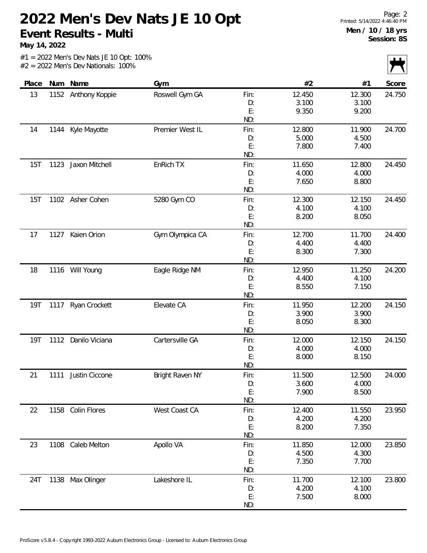**May 14, 2022**

|            |      |                     |                 |      |        |        | $\sqrt{ }$ |
|------------|------|---------------------|-----------------|------|--------|--------|------------|
| Place      |      | Num Name            | Gym             |      | #2     | #1     | Score      |
| 13         |      | 1152 Anthony Koppie | Roswell Gym GA  | Fin: | 12.450 | 12.300 | 24.750     |
|            |      |                     |                 | D:   | 3.100  | 3.100  |            |
|            |      |                     |                 | E:   | 9.350  | 9.200  |            |
|            |      |                     |                 | ND:  |        |        |            |
| 14         | 1144 | Kyle Mayotte        | Premier West IL | Fin: | 12.800 | 11.900 | 24.700     |
|            |      |                     |                 | D:   | 5.000  | 4.500  |            |
|            |      |                     |                 | E:   | 7.800  | 7.400  |            |
|            |      |                     |                 | ND:  |        |        |            |
| 15T        | 1123 | Jaxon Mitchell      | EnRich TX       | Fin: | 11.650 | 12.800 | 24.450     |
|            |      |                     |                 | D:   | 4.000  | 4.000  |            |
|            |      |                     |                 | E:   | 7.650  | 8.800  |            |
|            |      |                     |                 | ND:  |        |        |            |
| 15T        |      | 1102 Asher Cohen    | 5280 Gym CO     | Fin: | 12.300 | 12.150 | 24.450     |
|            |      |                     |                 | D:   | 4.100  | 4.100  |            |
|            |      |                     |                 | E:   | 8.200  | 8.050  |            |
|            |      |                     |                 | ND:  |        |        |            |
| 17         | 1127 | Kaien Orion         | Gym Olympica CA | Fin: | 12.700 | 11.700 | 24.400     |
|            |      |                     |                 | D:   | 4.400  | 4.400  |            |
|            |      |                     |                 | E:   | 8.300  | 7.300  |            |
|            |      |                     |                 | ND:  |        |        |            |
| 18         |      | 1116 Will Young     | Eagle Ridge NM  | Fin: | 12.950 | 11.250 | 24.200     |
|            |      |                     |                 | D:   | 4.400  | 4.100  |            |
|            |      |                     |                 | E:   | 8.550  | 7.150  |            |
|            |      |                     |                 | ND:  |        |        |            |
| 19T        |      | 1117 Ryan Crockett  | Elevate CA      | Fin: | 11.950 | 12.200 | 24.150     |
|            |      |                     |                 | D:   | 3.900  | 3.900  |            |
|            |      |                     |                 | E:   | 8.050  | 8.300  |            |
|            |      |                     |                 | ND:  |        |        |            |
| <b>19T</b> |      | 1112 Danilo Viciana | Cartersville GA | Fin: | 12.000 | 12.150 | 24.150     |
|            |      |                     |                 | D:   | 4.000  | 4.000  |            |
|            |      |                     |                 | E:   | 8.000  | 8.150  |            |
|            |      |                     |                 | ND:  |        |        |            |
| 21         | 1111 | Justin Ciccone      | Bright Raven NY | Fin: | 11.500 | 12.500 | 24.000     |
|            |      |                     |                 | D:   | 3.600  | 4.000  |            |
|            |      |                     |                 | E:   | 7.900  | 8.500  |            |
|            |      |                     |                 | ND:  |        |        |            |
| 22         | 1158 | Colin Flores        | West Coast CA   | Fin: | 12.400 | 11.550 | 23.950     |
|            |      |                     |                 | D:   | 4.200  | 4.200  |            |
|            |      |                     |                 | E:   | 8.200  | 7.350  |            |
|            |      |                     |                 | ND:  |        |        |            |
| 23         | 1108 | Caleb Melton        | Apollo VA       | Fin: | 11.850 | 12.000 | 23.850     |
|            |      |                     |                 | D:   | 4.500  | 4.300  |            |
|            |      |                     |                 | E:   | 7.350  | 7.700  |            |
|            |      |                     |                 | ND:  |        |        |            |
| 24T        |      | 1138 Max Olinger    | Lakeshore IL    | Fin: | 11.700 | 12.100 | 23.800     |
|            |      |                     |                 | D:   | 4.200  | 4.100  |            |
|            |      |                     |                 | E:   | 7.500  | 8.000  |            |
|            |      |                     |                 | ND:  |        |        |            |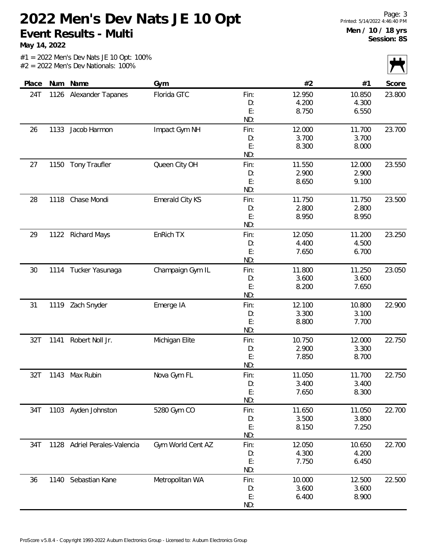**May 14, 2022**

÷.

#1 = 2022 Men's Dev Nats JE 10 Opt: 100% #2 = 2022 Men's Dev Nationals: 100%

|       |      |                         |                        |      |        |        | $\mathbf{z}$ |
|-------|------|-------------------------|------------------------|------|--------|--------|--------------|
| Place | Num  | Name                    | Gym                    |      | #2     | #1     | Score        |
| 24T   | 1126 | Alexander Tapanes       | Florida GTC            | Fin: | 12.950 | 10.850 | 23.800       |
|       |      |                         |                        | D:   | 4.200  | 4.300  |              |
|       |      |                         |                        | E:   | 8.750  | 6.550  |              |
|       |      |                         |                        | ND:  |        |        |              |
| 26    | 1133 | Jacob Harmon            | Impact Gym NH          | Fin: | 12.000 | 11.700 | 23.700       |
|       |      |                         |                        | D:   | 3.700  | 3.700  |              |
|       |      |                         |                        | E:   | 8.300  | 8.000  |              |
|       |      |                         |                        | ND:  |        |        |              |
| 27    | 1150 | <b>Tony Traufler</b>    | Queen City OH          | Fin: | 11.550 | 12.000 | 23.550       |
|       |      |                         |                        | D:   | 2.900  | 2.900  |              |
|       |      |                         |                        | E:   | 8.650  | 9.100  |              |
|       |      |                         |                        | ND:  |        |        |              |
| 28    | 1118 | Chase Mondi             | <b>Emerald City KS</b> | Fin: | 11.750 | 11.750 | 23.500       |
|       |      |                         |                        | D:   | 2.800  | 2.800  |              |
|       |      |                         |                        | E:   | 8.950  | 8.950  |              |
|       |      |                         |                        | ND:  |        |        |              |
| 29    | 1122 | <b>Richard Mays</b>     | EnRich TX              | Fin: | 12.050 | 11.200 | 23.250       |
|       |      |                         |                        | D:   | 4.400  | 4.500  |              |
|       |      |                         |                        | E:   | 7.650  | 6.700  |              |
|       |      |                         |                        | ND:  |        |        |              |
| 30    | 1114 | Tucker Yasunaga         | Champaign Gym IL       | Fin: | 11.800 | 11.250 | 23.050       |
|       |      |                         |                        | D:   | 3.600  | 3.600  |              |
|       |      |                         |                        | E:   | 8.200  | 7.650  |              |
|       |      |                         |                        | ND:  |        |        |              |
| 31    | 1119 | Zach Snyder             | Emerge IA              | Fin: | 12.100 | 10.800 | 22.900       |
|       |      |                         |                        | D:   | 3.300  | 3.100  |              |
|       |      |                         |                        | E:   | 8.800  | 7.700  |              |
|       |      |                         |                        | ND:  |        |        |              |
| 32T   | 1141 | Robert Noll Jr.         | Michigan Elite         | Fin: | 10.750 | 12.000 | 22.750       |
|       |      |                         |                        | D:   | 2.900  | 3.300  |              |
|       |      |                         |                        | E:   | 7.850  | 8.700  |              |
|       |      |                         |                        | ND:  |        |        |              |
| 32T   | 1143 | Max Rubin               | Nova Gym FL            | Fin: | 11.050 | 11.700 | 22.750       |
|       |      |                         |                        | D:   | 3.400  | 3.400  |              |
|       |      |                         |                        | E:   | 7.650  | 8.300  |              |
|       |      |                         |                        | ND:  |        |        |              |
| 34T   | 1103 | Ayden Johnston          | 5280 Gym CO            | Fin: | 11.650 | 11.050 | 22.700       |
|       |      |                         |                        | D:   | 3.500  | 3.800  |              |
|       |      |                         |                        | E:   | 8.150  | 7.250  |              |
|       |      |                         |                        | ND:  |        |        |              |
| 34T   | 1128 | Adriel Perales-Valencia | Gym World Cent AZ      | Fin: | 12.050 | 10.650 | 22.700       |
|       |      |                         |                        | D:   | 4.300  | 4.200  |              |
|       |      |                         |                        | E:   | 7.750  | 6.450  |              |
|       |      |                         |                        | ND:  |        |        |              |
| 36    | 1140 | Sebastian Kane          | Metropolitan WA        | Fin: | 10.000 | 12.500 | 22.500       |
|       |      |                         |                        | D:   | 3.600  | 3.600  |              |

6.400

E: ND:

8.900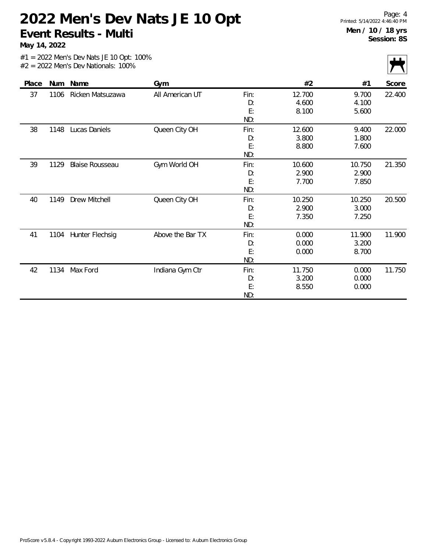**May 14, 2022**

|       |      |                        |                  |                         |                          |                          | $\cdot$ $\cdot$ |
|-------|------|------------------------|------------------|-------------------------|--------------------------|--------------------------|-----------------|
| Place |      | Num Name               | Gym              |                         | #2                       | #1                       | Score           |
| 37    | 1106 | Ricken Matsuzawa       | All American UT  | Fin:<br>D:<br>E:<br>ND: | 12.700<br>4.600<br>8.100 | 9.700<br>4.100<br>5.600  | 22.400          |
| 38    | 1148 | Lucas Daniels          | Queen City OH    | Fin:<br>D:<br>E:<br>ND: | 12.600<br>3.800<br>8.800 | 9.400<br>1.800<br>7.600  | 22.000          |
| 39    | 1129 | <b>Blaise Rousseau</b> | Gym World OH     | Fin:<br>D:<br>E:<br>ND: | 10.600<br>2.900<br>7.700 | 10.750<br>2.900<br>7.850 | 21.350          |
| 40    | 1149 | Drew Mitchell          | Queen City OH    | Fin:<br>D:<br>E:<br>ND: | 10.250<br>2.900<br>7.350 | 10.250<br>3.000<br>7.250 | 20.500          |
| 41    | 1104 | Hunter Flechsig        | Above the Bar TX | Fin:<br>D:<br>E:<br>ND: | 0.000<br>0.000<br>0.000  | 11.900<br>3.200<br>8.700 | 11.900          |
| 42    | 1134 | Max Ford               | Indiana Gym Ctr  | Fin:<br>D:<br>E:<br>ND: | 11.750<br>3.200<br>8.550 | 0.000<br>0.000<br>0.000  | 11.750          |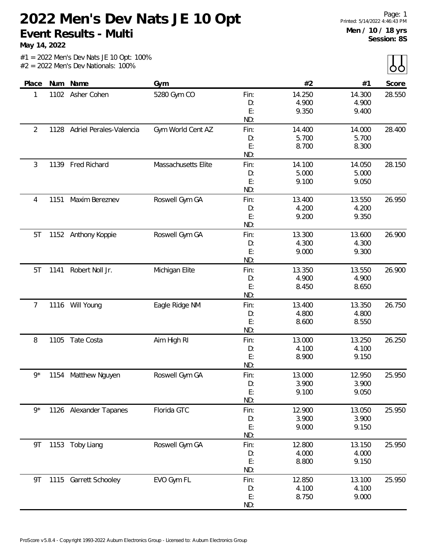**May 14, 2022**

|  | $#1 = 2022$ Men's Dev Nats JE 10 Opt: 100% |  |  |  |
|--|--------------------------------------------|--|--|--|
|  | $#2 = 2022$ Men's Dev Nationals: 100%      |  |  |  |

| Place          |      | Num Name                     | Gym                 |           | #2             | #1             | Score  |
|----------------|------|------------------------------|---------------------|-----------|----------------|----------------|--------|
| 1              |      | 1102 Asher Cohen             | 5280 Gym CO         | Fin:      | 14.250         | 14.300         | 28.550 |
|                |      |                              |                     | D:        | 4.900          | 4.900          |        |
|                |      |                              |                     | E:        | 9.350          | 9.400          |        |
|                |      |                              |                     | ND:       |                |                |        |
| $\overline{2}$ |      | 1128 Adriel Perales-Valencia | Gym World Cent AZ   | Fin:      | 14.400         | 14.000         | 28.400 |
|                |      |                              |                     | D:        | 5.700          | 5.700          |        |
|                |      |                              |                     | E:        | 8.700          | 8.300          |        |
|                |      |                              |                     | ND:       |                |                |        |
| 3              | 1139 | Fred Richard                 | Massachusetts Elite | Fin:      | 14.100         | 14.050         | 28.150 |
|                |      |                              |                     | D:        | 5.000          | 5.000          |        |
|                |      |                              |                     | E:        | 9.100          | 9.050          |        |
|                |      |                              |                     | ND:       |                |                |        |
| 4              | 1151 | Maxim Bereznev               | Roswell Gym GA      | Fin:      | 13.400         | 13.550         | 26.950 |
|                |      |                              |                     | D:        | 4.200          | 4.200          |        |
|                |      |                              |                     | E:        | 9.200          | 9.350          |        |
|                |      |                              |                     | ND:       |                |                |        |
| 5T             |      | 1152 Anthony Koppie          | Roswell Gym GA      | Fin:      | 13.300         | 13.600         | 26.900 |
|                |      |                              |                     | D:        | 4.300          | 4.300          |        |
|                |      |                              |                     | E:        | 9.000          | 9.300          |        |
|                |      |                              |                     | ND:       |                |                |        |
| 5T             | 1141 | Robert Noll Jr.              | Michigan Elite      | Fin:      | 13.350         | 13.550         | 26.900 |
|                |      |                              |                     | D:        | 4.900          | 4.900          |        |
|                |      |                              |                     | E:        | 8.450          | 8.650          |        |
|                |      |                              |                     | ND:       |                |                |        |
| 7              |      | 1116 Will Young              | Eagle Ridge NM      | Fin:      | 13.400         | 13.350         | 26.750 |
|                |      |                              |                     | D:        | 4.800          | 4.800          |        |
|                |      |                              |                     | E:        | 8.600          | 8.550          |        |
|                |      |                              |                     | ND:       |                |                |        |
| 8              | 1105 | Tate Costa                   | Aim High RI         | Fin:      | 13.000         | 13.250         | 26.250 |
|                |      |                              |                     | D:        | 4.100          | 4.100          |        |
|                |      |                              |                     | E:<br>ND: | 8.900          | 9.150          |        |
|                |      |                              |                     |           |                |                |        |
| $9*$           |      | 1154 Matthew Nguyen          | Roswell Gym GA      | Fin:      | 13.000         | 12.950         | 25.950 |
|                |      |                              |                     | D:<br>E:  | 3.900<br>9.100 | 3.900<br>9.050 |        |
|                |      |                              |                     | ND:       |                |                |        |
| $9*$           |      | 1126 Alexander Tapanes       | Florida GTC         | Fin:      | 12.900         | 13.050         | 25.950 |
|                |      |                              |                     | D:        | 3.900          | 3.900          |        |
|                |      |                              |                     | E:        | 9.000          | 9.150          |        |
|                |      |                              |                     | ND:       |                |                |        |
| 9T             |      | 1153 Toby Liang              | Roswell Gym GA      | Fin:      | 12.800         | 13.150         | 25.950 |
|                |      |                              |                     | D:        | 4.000          | 4.000          |        |
|                |      |                              |                     | E:        | 8.800          | 9.150          |        |
|                |      |                              |                     | ND:       |                |                |        |
| 9T             | 1115 | Garrett Schooley             | EVO Gym FL          | Fin:      | 12.850         | 13.100         | 25.950 |
|                |      |                              |                     | D:        | 4.100          | 4.100          |        |
|                |      |                              |                     | E:        | 8.750          | 9.000          |        |
|                |      |                              |                     | ND:       |                |                |        |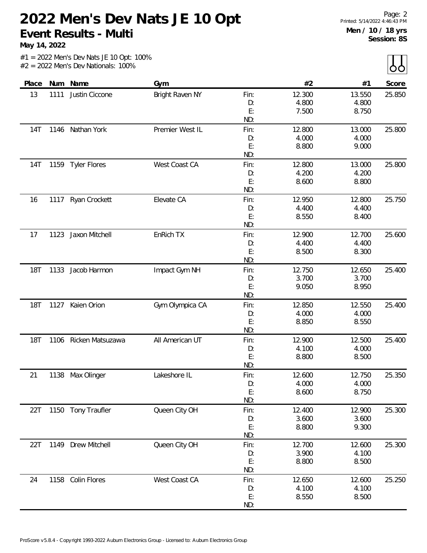**May 14, 2022**

 $\sum$ 

|            |      |                     |                 |           |        |        | $\sim$ $\sim$ |
|------------|------|---------------------|-----------------|-----------|--------|--------|---------------|
| Place      | Num  | Name                | Gym             |           | #2     | #1     | Score         |
| 13         | 1111 | Justin Ciccone      | Bright Raven NY | Fin:      | 12.300 | 13.550 | 25.850        |
|            |      |                     |                 | D:        | 4.800  | 4.800  |               |
|            |      |                     |                 | E:        | 7.500  | 8.750  |               |
|            |      |                     |                 | ND:       |        |        |               |
| <b>14T</b> | 1146 | Nathan York         | Premier West IL | Fin:      | 12.800 | 13.000 | 25.800        |
|            |      |                     |                 | D:        | 4.000  | 4.000  |               |
|            |      |                     |                 | E:        | 8.800  | 9.000  |               |
|            |      |                     |                 | ND:       |        |        |               |
| 14T        | 1159 | <b>Tyler Flores</b> | West Coast CA   | Fin:      | 12.800 | 13.000 | 25.800        |
|            |      |                     |                 | D:        | 4.200  | 4.200  |               |
|            |      |                     |                 | E:        | 8.600  | 8.800  |               |
|            |      |                     |                 | ND:       |        |        |               |
| 16         | 1117 | Ryan Crockett       | Elevate CA      | Fin:      | 12.950 | 12.800 | 25.750        |
|            |      |                     |                 | D:        | 4.400  | 4.400  |               |
|            |      |                     |                 | E:        | 8.550  | 8.400  |               |
|            |      |                     |                 | ND:       |        |        |               |
| 17         | 1123 | Jaxon Mitchell      | EnRich TX       | Fin:      | 12.900 | 12.700 | 25.600        |
|            |      |                     |                 | D:        | 4.400  | 4.400  |               |
|            |      |                     |                 | E:        | 8.500  | 8.300  |               |
|            |      |                     |                 | ND:       |        |        |               |
| <b>18T</b> | 1133 | Jacob Harmon        | Impact Gym NH   | Fin:      | 12.750 | 12.650 | 25.400        |
|            |      |                     |                 | D:        | 3.700  | 3.700  |               |
|            |      |                     |                 | E:<br>ND: | 9.050  | 8.950  |               |
| <b>18T</b> | 1127 | Kaien Orion         | Gym Olympica CA | Fin:      | 12.850 | 12.550 | 25.400        |
|            |      |                     |                 | D:        | 4.000  | 4.000  |               |
|            |      |                     |                 | E:        | 8.850  | 8.550  |               |
|            |      |                     |                 | ND:       |        |        |               |
| <b>18T</b> | 1106 | Ricken Matsuzawa    | All American UT | Fin:      | 12.900 | 12.500 | 25.400        |
|            |      |                     |                 | D:        | 4.100  | 4.000  |               |
|            |      |                     |                 | E:        | 8.800  | 8.500  |               |
|            |      |                     |                 | ND:       |        |        |               |
| 21         | 1138 | Max Olinger         | Lakeshore IL    | Fin:      | 12.600 | 12.750 | 25.350        |
|            |      |                     |                 | D:        | 4.000  | 4.000  |               |
|            |      |                     |                 | E:        | 8.600  | 8.750  |               |
|            |      |                     |                 | ND:       |        |        |               |
| 22T        |      | 1150 Tony Traufler  | Queen City OH   | Fin:      | 12.400 | 12.900 | 25.300        |
|            |      |                     |                 | D:        | 3.600  | 3.600  |               |
|            |      |                     |                 | E:        | 8.800  | 9.300  |               |
|            |      |                     |                 | ND:       |        |        |               |
| 22T        |      | 1149 Drew Mitchell  | Queen City OH   | Fin:      | 12.700 | 12.600 | 25.300        |
|            |      |                     |                 | D:        | 3.900  | 4.100  |               |
|            |      |                     |                 | E:        | 8.800  | 8.500  |               |
|            |      |                     |                 | ND:       |        |        |               |
| 24         | 1158 | Colin Flores        | West Coast CA   | Fin:      | 12.650 | 12.600 | 25.250        |
|            |      |                     |                 | D:        | 4.100  | 4.100  |               |
|            |      |                     |                 | E:        | 8.550  | 8.500  |               |
|            |      |                     |                 | ND:       |        |        |               |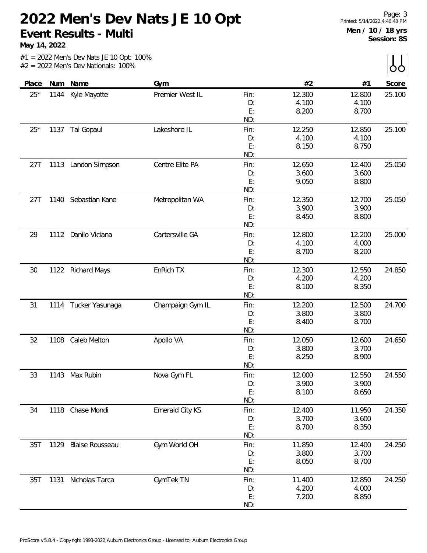**May 14, 2022**

 $\lambda$ 

|       |      |                        |                  |      |        |        | $\overline{\phantom{a}}$ |
|-------|------|------------------------|------------------|------|--------|--------|--------------------------|
| Place |      | Num Name               | Gym              |      | #2     | #1     | Score                    |
| $25*$ | 1144 | Kyle Mayotte           | Premier West IL  | Fin: | 12.300 | 12.800 | 25.100                   |
|       |      |                        |                  | D:   | 4.100  | 4.100  |                          |
|       |      |                        |                  | E:   | 8.200  | 8.700  |                          |
|       |      |                        |                  | ND:  |        |        |                          |
| $25*$ | 1137 | Tai Gopaul             | Lakeshore IL     | Fin: | 12.250 | 12.850 | 25.100                   |
|       |      |                        |                  | D:   | 4.100  | 4.100  |                          |
|       |      |                        |                  | E:   | 8.150  | 8.750  |                          |
|       |      |                        |                  | ND:  |        |        |                          |
| 27T   | 1113 | Landon Simpson         | Centre Elite PA  | Fin: | 12.650 | 12.400 | 25.050                   |
|       |      |                        |                  | D:   | 3.600  | 3.600  |                          |
|       |      |                        |                  | E:   | 9.050  | 8.800  |                          |
|       |      |                        |                  | ND:  |        |        |                          |
| 27T   | 1140 | Sebastian Kane         | Metropolitan WA  | Fin: | 12.350 | 12.700 | 25.050                   |
|       |      |                        |                  | D:   | 3.900  | 3.900  |                          |
|       |      |                        |                  | E:   | 8.450  | 8.800  |                          |
|       |      |                        |                  | ND:  |        |        |                          |
| 29    |      | 1112 Danilo Viciana    | Cartersville GA  | Fin: | 12.800 | 12.200 | 25.000                   |
|       |      |                        |                  | D:   | 4.100  | 4.000  |                          |
|       |      |                        |                  | E:   | 8.700  | 8.200  |                          |
|       |      |                        |                  | ND:  |        |        |                          |
| 30    |      | 1122 Richard Mays      | EnRich TX        | Fin: | 12.300 | 12.550 | 24.850                   |
|       |      |                        |                  | D:   | 4.200  | 4.200  |                          |
|       |      |                        |                  | E:   | 8.100  | 8.350  |                          |
|       |      |                        |                  | ND:  |        |        |                          |
| 31    |      | 1114 Tucker Yasunaga   | Champaign Gym IL | Fin: | 12.200 | 12.500 | 24.700                   |
|       |      |                        |                  | D:   | 3.800  | 3.800  |                          |
|       |      |                        |                  | E:   | 8.400  | 8.700  |                          |
|       |      |                        |                  | ND:  |        |        |                          |
| 32    | 1108 | Caleb Melton           | Apollo VA        | Fin: | 12.050 | 12.600 | 24.650                   |
|       |      |                        |                  | D:   | 3.800  | 3.700  |                          |
|       |      |                        |                  | E:   | 8.250  | 8.900  |                          |
|       |      |                        |                  | ND:  |        |        |                          |
| 33    | 1143 | Max Rubin              | Nova Gym FL      | Fin: | 12.000 | 12.550 | 24.550                   |
|       |      |                        |                  | D:   | 3.900  | 3.900  |                          |
|       |      |                        |                  | E:   | 8.100  | 8.650  |                          |
|       |      |                        |                  | ND:  |        |        |                          |
| 34    |      | 1118 Chase Mondi       | Emerald City KS  | Fin: | 12.400 | 11.950 | 24.350                   |
|       |      |                        |                  | D:   | 3.700  | 3.600  |                          |
|       |      |                        |                  | E:   | 8.700  | 8.350  |                          |
|       |      |                        |                  | ND:  |        |        |                          |
| 35T   | 1129 | <b>Blaise Rousseau</b> | Gym World OH     | Fin: | 11.850 | 12.400 | 24.250                   |
|       |      |                        |                  | D:   | 3.800  | 3.700  |                          |
|       |      |                        |                  | E:   | 8.050  | 8.700  |                          |
|       |      |                        |                  | ND:  |        |        |                          |
| 35T   |      | 1131 Nicholas Tarca    | GymTek TN        | Fin: | 11.400 | 12.850 | 24.250                   |
|       |      |                        |                  | D:   | 4.200  | 4.000  |                          |
|       |      |                        |                  | E:   | 7.200  | 8.850  |                          |
|       |      |                        |                  | ND:  |        |        |                          |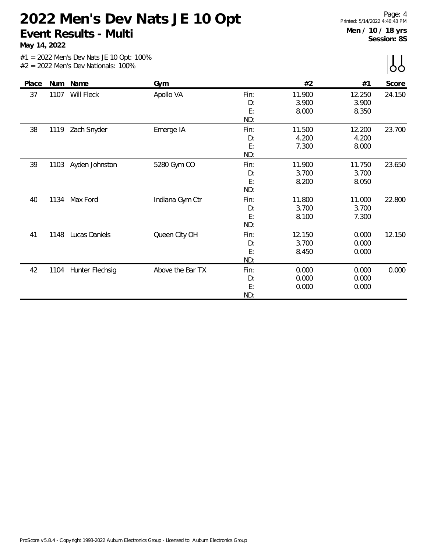**May 14, 2022**

| Place |      | Num Name        | Gym              |                         | #2                       | #1                       | Score  |
|-------|------|-----------------|------------------|-------------------------|--------------------------|--------------------------|--------|
| 37    | 1107 | Will Fleck      | Apollo VA        | Fin:<br>D:<br>E:<br>ND: | 11.900<br>3.900<br>8.000 | 12.250<br>3.900<br>8.350 | 24.150 |
| 38    | 1119 | Zach Snyder     | Emerge IA        | Fin:<br>D:<br>E:<br>ND: | 11.500<br>4.200<br>7.300 | 12.200<br>4.200<br>8.000 | 23.700 |
| 39    | 1103 | Ayden Johnston  | 5280 Gym CO      | Fin:<br>D:<br>E:<br>ND: | 11.900<br>3.700<br>8.200 | 11.750<br>3.700<br>8.050 | 23.650 |
| 40    | 1134 | Max Ford        | Indiana Gym Ctr  | Fin:<br>D:<br>E:<br>ND: | 11.800<br>3.700<br>8.100 | 11.000<br>3.700<br>7.300 | 22.800 |
| 41    | 1148 | Lucas Daniels   | Queen City OH    | Fin:<br>D:<br>E:<br>ND: | 12.150<br>3.700<br>8.450 | 0.000<br>0.000<br>0.000  | 12.150 |
| 42    | 1104 | Hunter Flechsig | Above the Bar TX | Fin:<br>D:<br>E:<br>ND: | 0.000<br>0.000<br>0.000  | 0.000<br>0.000<br>0.000  | 0.000  |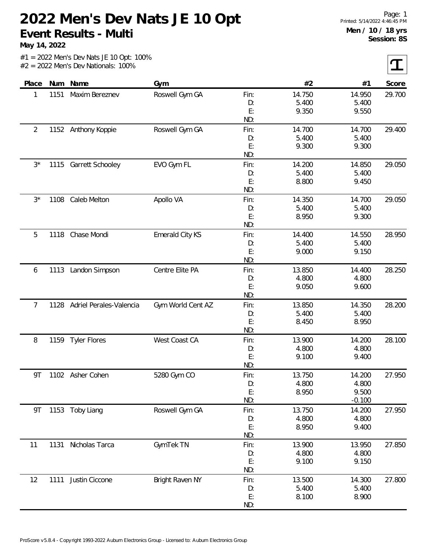**May 14, 2022**

 $|\mathbf{T}|$ 

| Place          | Num  | Name                    | Gym               |           | #2             | #1             | Score  |
|----------------|------|-------------------------|-------------------|-----------|----------------|----------------|--------|
| 1              | 1151 | Maxim Bereznev          | Roswell Gym GA    | Fin:      | 14.750         | 14.950         | 29.700 |
|                |      |                         |                   | D:        | 5.400          | 5.400          |        |
|                |      |                         |                   | E:        | 9.350          | 9.550          |        |
|                |      |                         |                   | ND:       |                |                |        |
| $\overline{2}$ |      | 1152 Anthony Koppie     | Roswell Gym GA    | Fin:      | 14.700         | 14.700         | 29.400 |
|                |      |                         |                   | D:        | 5.400          | 5.400          |        |
|                |      |                         |                   | E:        | 9.300          | 9.300          |        |
|                |      |                         |                   | ND:       |                |                |        |
| $3^{\star}$    | 1115 | Garrett Schooley        | EVO Gym FL        | Fin:      | 14.200         | 14.850         | 29.050 |
|                |      |                         |                   | D:        | 5.400          | 5.400          |        |
|                |      |                         |                   | E:        | 8.800          | 9.450          |        |
|                |      |                         |                   | ND:       |                |                |        |
| $3*$           | 1108 | Caleb Melton            | Apollo VA         | Fin:      | 14.350         | 14.700         | 29.050 |
|                |      |                         |                   | D:        | 5.400          | 5.400          |        |
|                |      |                         |                   | E:        | 8.950          | 9.300          |        |
|                |      |                         |                   | ND:       |                |                |        |
| 5              | 1118 | Chase Mondi             | Emerald City KS   | Fin:      | 14.400         | 14.550         | 28.950 |
|                |      |                         |                   | D:        | 5.400          | 5.400          |        |
|                |      |                         |                   | E:<br>ND: | 9.000          | 9.150          |        |
|                |      |                         |                   |           |                |                |        |
| 6              | 1113 | Landon Simpson          | Centre Elite PA   | Fin:      | 13.850         | 14.400         | 28.250 |
|                |      |                         |                   | D:<br>E:  | 4.800<br>9.050 | 4.800<br>9.600 |        |
|                |      |                         |                   | ND:       |                |                |        |
| 7              | 1128 | Adriel Perales-Valencia | Gym World Cent AZ | Fin:      | 13.850         | 14.350         | 28.200 |
|                |      |                         |                   | D:        | 5.400          | 5.400          |        |
|                |      |                         |                   | E:        | 8.450          | 8.950          |        |
|                |      |                         |                   | ND:       |                |                |        |
| 8              | 1159 | <b>Tyler Flores</b>     | West Coast CA     | Fin:      | 13.900         | 14.200         | 28.100 |
|                |      |                         |                   | D:        | 4.800          | 4.800          |        |
|                |      |                         |                   | E:        | 9.100          | 9.400          |        |
|                |      |                         |                   | ND:       |                |                |        |
| <b>9T</b>      |      | 1102 Asher Cohen        | 5280 Gym CO       | Fin:      | 13.750         | 14.200         | 27.950 |
|                |      |                         |                   | D:        | 4.800          | 4.800          |        |
|                |      |                         |                   | E:        | 8.950          | 9.500          |        |
|                |      |                         |                   | ND:       |                | $-0.100$       |        |
| 9T             |      | 1153 Toby Liang         | Roswell Gym GA    | Fin:      | 13.750         | 14.200         | 27.950 |
|                |      |                         |                   | D:        | 4.800          | 4.800          |        |
|                |      |                         |                   | E:        | 8.950          | 9.400          |        |
|                |      |                         |                   | ND:       |                |                |        |
| 11             | 1131 | Nicholas Tarca          | GymTek TN         | Fin:      | 13.900         | 13.950         | 27.850 |
|                |      |                         |                   | D:        | 4.800          | 4.800          |        |
|                |      |                         |                   | E:        | 9.100          | 9.150          |        |
|                |      |                         |                   | ND:       |                |                |        |
| 12             | 1111 | Justin Ciccone          | Bright Raven NY   | Fin:      | 13.500         | 14.300         | 27.800 |
|                |      |                         |                   | D:        | 5.400          | 5.400          |        |
|                |      |                         |                   | E:        | 8.100          | 8.900          |        |
|                |      |                         |                   | ND:       |                |                |        |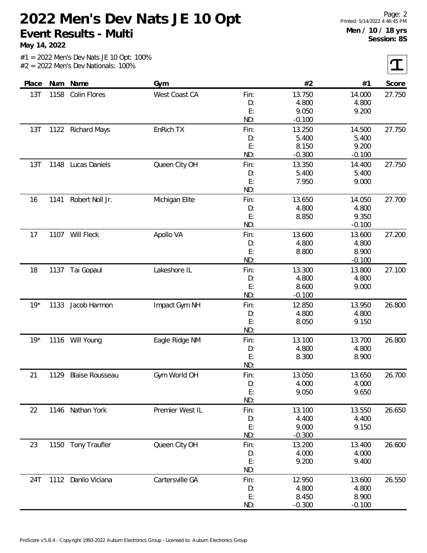**May 14, 2022**

 $|\mathbf{T}|$ 

| Place | Num  | Name                   | Gym             |      | #2       | #1       | Score  |
|-------|------|------------------------|-----------------|------|----------|----------|--------|
| 13T   | 1158 | Colin Flores           | West Coast CA   | Fin: | 13.750   | 14.000   | 27.750 |
|       |      |                        |                 | D:   | 4.800    | 4.800    |        |
|       |      |                        |                 | E:   | 9.050    | 9.200    |        |
|       |      |                        |                 | ND:  | $-0.100$ |          |        |
| 13T   |      | 1122 Richard Mays      | EnRich TX       | Fin: | 13.250   | 14.500   | 27.750 |
|       |      |                        |                 | D:   | 5.400    | 5.400    |        |
|       |      |                        |                 | E:   | 8.150    | 9.200    |        |
|       |      |                        |                 | ND:  | $-0.300$ | $-0.100$ |        |
| 13T   | 1148 | Lucas Daniels          | Queen City OH   | Fin: | 13.350   | 14.400   | 27.750 |
|       |      |                        |                 | D:   | 5.400    | 5.400    |        |
|       |      |                        |                 | E:   | 7.950    | 9.000    |        |
|       |      |                        |                 | ND:  |          |          |        |
| 16    |      | 1141 Robert Noll Jr.   | Michigan Elite  | Fin: | 13.650   | 14.050   | 27.700 |
|       |      |                        |                 | D:   | 4.800    | 4.800    |        |
|       |      |                        |                 | E:   | 8.850    | 9.350    |        |
|       |      |                        |                 | ND:  |          | $-0.100$ |        |
| 17    |      | 1107 Will Fleck        | Apollo VA       | Fin: | 13.600   | 13.600   | 27.200 |
|       |      |                        |                 | D:   | 4.800    | 4.800    |        |
|       |      |                        |                 | E:   | 8.800    | 8.900    |        |
|       |      |                        |                 | ND:  |          | $-0.100$ |        |
| 18    | 1137 | Tai Gopaul             | Lakeshore IL    | Fin: | 13.300   | 13.800   | 27.100 |
|       |      |                        |                 | D:   | 4.800    | 4.800    |        |
|       |      |                        |                 | E:   | 8.600    | 9.000    |        |
|       |      |                        |                 | ND:  | $-0.100$ |          |        |
| $19*$ | 1133 | Jacob Harmon           | Impact Gym NH   | Fin: | 12.850   | 13.950   | 26.800 |
|       |      |                        |                 | D:   | 4.800    | 4.800    |        |
|       |      |                        |                 | E:   | 8.050    | 9.150    |        |
|       |      |                        |                 | ND:  |          |          |        |
| $19*$ |      | 1116 Will Young        | Eagle Ridge NM  | Fin: | 13.100   | 13.700   | 26.800 |
|       |      |                        |                 | D:   | 4.800    | 4.800    |        |
|       |      |                        |                 | E:   | 8.300    | 8.900    |        |
|       |      |                        |                 | ND:  |          |          |        |
| 21    | 1129 | <b>Blaise Rousseau</b> | Gym World OH    | Fin: | 13.050   | 13.650   | 26.700 |
|       |      |                        |                 | D:   | 4.000    | 4.000    |        |
|       |      |                        |                 | E:   | 9.050    | 9.650    |        |
|       |      |                        |                 | ND:  |          |          |        |
| 22    | 1146 | Nathan York            | Premier West IL | Fin: | 13.100   | 13.550   | 26.650 |
|       |      |                        |                 | D:   | 4.400    | 4.400    |        |
|       |      |                        |                 | E:   | 9.000    | 9.150    |        |
|       |      |                        |                 | ND:  | $-0.300$ |          |        |
| 23    | 1150 | Tony Traufler          | Queen City OH   | Fin: | 13.200   | 13.400   | 26.600 |
|       |      |                        |                 | D:   | 4.000    | 4.000    |        |
|       |      |                        |                 | E:   | 9.200    | 9.400    |        |
|       |      |                        |                 | ND:  |          |          |        |
| 24T   | 1112 | Danilo Viciana         | Cartersville GA | Fin: | 12.950   | 13.600   | 26.550 |
|       |      |                        |                 | D:   | 4.800    | 4.800    |        |
|       |      |                        |                 | E:   | 8.450    | 8.900    |        |
|       |      |                        |                 | ND:  | $-0.300$ | $-0.100$ |        |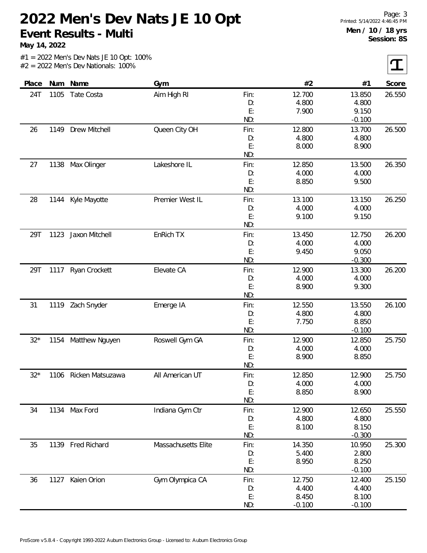**May 14, 2022**

 $|\mathbf{T}|$ 

| Place |      | Num Name            | Gym                 |           | #2       | #1       | Score  |
|-------|------|---------------------|---------------------|-----------|----------|----------|--------|
| 24T   | 1105 | Tate Costa          | Aim High RI         | Fin:      | 12.700   | 13.850   | 26.550 |
|       |      |                     |                     | D:        | 4.800    | 4.800    |        |
|       |      |                     |                     | E:        | 7.900    | 9.150    |        |
|       |      |                     |                     | ND:       |          | $-0.100$ |        |
| 26    | 1149 | Drew Mitchell       | Queen City OH       | Fin:      | 12.800   | 13.700   | 26.500 |
|       |      |                     |                     | D:        | 4.800    | 4.800    |        |
|       |      |                     |                     | E:        | 8.000    | 8.900    |        |
|       |      |                     |                     | ND:       |          |          |        |
| 27    | 1138 | Max Olinger         | Lakeshore IL        | Fin:      | 12.850   | 13.500   | 26.350 |
|       |      |                     |                     | D:        | 4.000    | 4.000    |        |
|       |      |                     |                     | E:        | 8.850    | 9.500    |        |
|       |      |                     |                     | ND:       |          |          |        |
| 28    | 1144 | Kyle Mayotte        | Premier West IL     | Fin:      | 13.100   | 13.150   | 26.250 |
|       |      |                     |                     | D:        | 4.000    | 4.000    |        |
|       |      |                     |                     | E:        | 9.100    | 9.150    |        |
|       |      |                     |                     | ND:       |          |          |        |
| 29T   | 1123 | Jaxon Mitchell      | EnRich TX           | Fin:      | 13.450   | 12.750   | 26.200 |
|       |      |                     |                     | D:        | 4.000    | 4.000    |        |
|       |      |                     |                     | E:        | 9.450    | 9.050    |        |
|       |      |                     |                     | ND:       |          | $-0.300$ |        |
| 29T   | 1117 | Ryan Crockett       | Elevate CA          | Fin:      | 12.900   | 13.300   | 26.200 |
|       |      |                     |                     | D:        | 4.000    | 4.000    |        |
|       |      |                     |                     | E:<br>ND: | 8.900    | 9.300    |        |
| 31    | 1119 | Zach Snyder         | Emerge IA           | Fin:      | 12.550   | 13.550   | 26.100 |
|       |      |                     |                     | D:        | 4.800    | 4.800    |        |
|       |      |                     |                     | E:        | 7.750    | 8.850    |        |
|       |      |                     |                     | ND:       |          | $-0.100$ |        |
| $32*$ |      | 1154 Matthew Nguyen | Roswell Gym GA      | Fin:      | 12.900   | 12.850   | 25.750 |
|       |      |                     |                     | D:        | 4.000    | 4.000    |        |
|       |      |                     |                     | E:        | 8.900    | 8.850    |        |
|       |      |                     |                     | ND:       |          |          |        |
| $32*$ | 1106 | Ricken Matsuzawa    | All American UT     | Fin:      | 12.850   | 12.900   | 25.750 |
|       |      |                     |                     | D:        | 4.000    | 4.000    |        |
|       |      |                     |                     | E:        | 8.850    | 8.900    |        |
|       |      |                     |                     | ND:       |          |          |        |
| 34    |      | 1134 Max Ford       | Indiana Gym Ctr     | Fin:      | 12.900   | 12.650   | 25.550 |
|       |      |                     |                     | D:        | 4.800    | 4.800    |        |
|       |      |                     |                     | E:        | 8.100    | 8.150    |        |
|       |      |                     |                     | ND:       |          | $-0.300$ |        |
| 35    |      | 1139 Fred Richard   | Massachusetts Elite | Fin:      | 14.350   | 10.950   | 25.300 |
|       |      |                     |                     | D:        | 5.400    | 2.800    |        |
|       |      |                     |                     | E:        | 8.950    | 8.250    |        |
|       |      |                     |                     | ND:       |          | $-0.100$ |        |
| 36    |      | 1127 Kaien Orion    | Gym Olympica CA     | Fin:      | 12.750   | 12.400   | 25.150 |
|       |      |                     |                     | D:        | 4.400    | 4.400    |        |
|       |      |                     |                     | E:        | 8.450    | 8.100    |        |
|       |      |                     |                     | ND:       | $-0.100$ | $-0.100$ |        |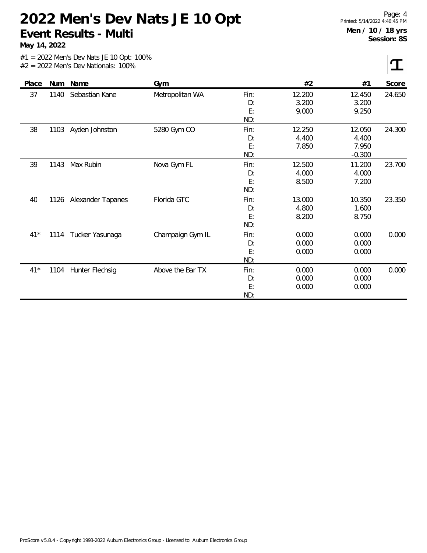**May 14, 2022**

 $\tau$ 

| Place |      | Num Name          | Gym              |                         | #2                       | #1                                   | Score  |
|-------|------|-------------------|------------------|-------------------------|--------------------------|--------------------------------------|--------|
| 37    | 1140 | Sebastian Kane    | Metropolitan WA  | Fin:<br>D:<br>E:<br>ND: | 12.200<br>3.200<br>9.000 | 12.450<br>3.200<br>9.250             | 24.650 |
| 38    | 1103 | Ayden Johnston    | 5280 Gym CO      | Fin:<br>D:<br>E:<br>ND: | 12.250<br>4.400<br>7.850 | 12.050<br>4.400<br>7.950<br>$-0.300$ | 24.300 |
| 39    | 1143 | Max Rubin         | Nova Gym FL      | Fin:<br>D:<br>E:<br>ND: | 12.500<br>4.000<br>8.500 | 11.200<br>4.000<br>7.200             | 23.700 |
| 40    | 1126 | Alexander Tapanes | Florida GTC      | Fin:<br>D:<br>E:<br>ND: | 13.000<br>4.800<br>8.200 | 10.350<br>1.600<br>8.750             | 23.350 |
| $41*$ | 1114 | Tucker Yasunaga   | Champaign Gym IL | Fin:<br>D:<br>E:<br>ND: | 0.000<br>0.000<br>0.000  | 0.000<br>0.000<br>0.000              | 0.000  |
| $41*$ | 1104 | Hunter Flechsig   | Above the Bar TX | Fin:<br>D:<br>E:<br>ND: | 0.000<br>0.000<br>0.000  | 0.000<br>0.000<br>0.000              | 0.000  |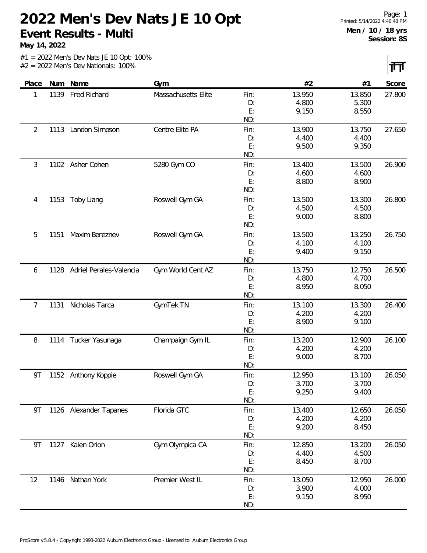**May 14, 2022**

 $\overline{\mathbf{H}}$ 

|                |      |                         |                     |                         |                          |                          | 11 H H |
|----------------|------|-------------------------|---------------------|-------------------------|--------------------------|--------------------------|--------|
| Place          | Num  | Name                    | Gym                 |                         | #2                       | #1                       | Score  |
| 1              | 1139 | <b>Fred Richard</b>     | Massachusetts Elite | Fin:                    | 13.950                   | 13.850                   | 27.800 |
|                |      |                         |                     | D:                      | 4.800                    | 5.300                    |        |
|                |      |                         |                     | E:                      | 9.150                    | 8.550                    |        |
|                |      |                         |                     | ND:                     |                          |                          |        |
| $\overline{2}$ | 1113 | Landon Simpson          | Centre Elite PA     | Fin:                    | 13.900                   | 13.750                   | 27.650 |
|                |      |                         |                     | D:                      | 4.400                    | 4.400                    |        |
|                |      |                         |                     | E:                      | 9.500                    | 9.350                    |        |
|                |      |                         |                     | ND:                     |                          |                          |        |
| 3              |      | 1102 Asher Cohen        | 5280 Gym CO         | Fin:                    | 13.400                   | 13.500                   | 26.900 |
|                |      |                         |                     | D:                      | 4.600                    | 4.600                    |        |
|                |      |                         |                     | E:                      | 8.800                    | 8.900                    |        |
|                |      |                         |                     | ND:                     |                          |                          |        |
| 4              | 1153 | Toby Liang              | Roswell Gym GA      | Fin:                    | 13.500                   | 13.300                   | 26.800 |
|                |      |                         |                     | D:                      | 4.500                    | 4.500                    |        |
|                |      |                         |                     | E:                      | 9.000                    | 8.800                    |        |
|                |      |                         |                     | ND:                     |                          |                          |        |
| 5              | 1151 | Maxim Bereznev          | Roswell Gym GA      | Fin:                    | 13.500                   | 13.250                   | 26.750 |
|                |      |                         |                     | D:                      | 4.100                    | 4.100                    |        |
|                |      |                         |                     | E:                      | 9.400                    | 9.150                    |        |
|                |      |                         |                     | ND:                     |                          |                          |        |
| 6              | 1128 | Adriel Perales-Valencia | Gym World Cent AZ   | Fin:                    | 13.750                   | 12.750                   | 26.500 |
|                |      |                         |                     | D:                      | 4.800                    | 4.700                    |        |
|                |      |                         |                     | E:                      | 8.950                    | 8.050                    |        |
|                |      |                         |                     | ND:                     |                          |                          |        |
| 7              | 1131 | Nicholas Tarca          | GymTek TN           | Fin:                    | 13.100                   | 13.300                   | 26.400 |
|                |      |                         |                     | D:                      | 4.200                    | 4.200                    |        |
|                |      |                         |                     | E:                      | 8.900                    | 9.100                    |        |
|                |      |                         |                     | ND:                     |                          |                          |        |
| 8              |      | 1114 Tucker Yasunaga    | Champaign Gym IL    | Fin:                    | 13.200                   | 12.900                   | 26.100 |
|                |      |                         |                     | D:                      | 4.200                    | 4.200                    |        |
|                |      |                         |                     | E:                      | 9.000                    | 8.700                    |        |
|                |      |                         |                     | ND:                     |                          |                          |        |
| 9Τ             |      | 1152 Anthony Koppie     | Roswell Gym GA      | Fin:                    | 12.950                   | 13.100                   | 26.050 |
|                |      |                         |                     | D:                      | 3.700                    | 3.700                    |        |
|                |      |                         |                     | E:                      | 9.250                    | 9.400                    |        |
|                |      |                         |                     | ND:                     |                          |                          |        |
| 9Τ             |      | 1126 Alexander Tapanes  | Florida GTC         | Fin:                    | 13.400                   | 12.650                   | 26.050 |
|                |      |                         |                     | D:                      | 4.200                    | 4.200                    |        |
|                |      |                         |                     | E:                      | 9.200                    | 8.450                    |        |
|                |      |                         |                     | ND:                     |                          |                          |        |
| 9Τ             | 1127 | Kaien Orion             | Gym Olympica CA     | Fin:                    | 12.850                   | 13.200                   | 26.050 |
|                |      |                         |                     | D:                      | 4.400                    | 4.500                    |        |
|                |      |                         |                     | E:                      | 8.450                    | 8.700                    |        |
|                |      |                         |                     | ND:                     |                          |                          |        |
|                |      |                         |                     |                         |                          |                          | 26.000 |
|                |      |                         |                     |                         |                          |                          |        |
|                |      |                         |                     |                         |                          |                          |        |
|                |      |                         |                     |                         |                          |                          |        |
| 12             |      | 1146 Nathan York        | Premier West IL     | Fin:<br>D:<br>E:<br>ND: | 13.050<br>3.900<br>9.150 | 12.950<br>4.000<br>8.950 |        |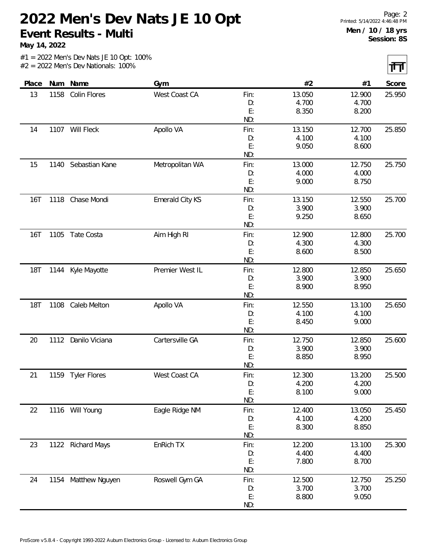**May 14, 2022**

 $|\mathbf{H}|$ 

|            |      |                     |                 |      |        |        | $\mathbf{r}$ |
|------------|------|---------------------|-----------------|------|--------|--------|--------------|
| Place      |      | Num Name            | Gym             |      | #2     | #1     | Score        |
| 13         | 1158 | Colin Flores        | West Coast CA   | Fin: | 13.050 | 12.900 | 25.950       |
|            |      |                     |                 | D:   | 4.700  | 4.700  |              |
|            |      |                     |                 | E:   | 8.350  | 8.200  |              |
|            |      |                     |                 | ND:  |        |        |              |
| 14         |      | 1107 Will Fleck     | Apollo VA       | Fin: | 13.150 | 12.700 | 25.850       |
|            |      |                     |                 | D:   | 4.100  | 4.100  |              |
|            |      |                     |                 | E:   | 9.050  | 8.600  |              |
|            |      |                     |                 | ND:  |        |        |              |
| 15         | 1140 | Sebastian Kane      | Metropolitan WA | Fin: | 13.000 | 12.750 | 25.750       |
|            |      |                     |                 | D:   | 4.000  | 4.000  |              |
|            |      |                     |                 | E:   | 9.000  | 8.750  |              |
|            |      |                     |                 | ND:  |        |        |              |
| 16T        | 1118 | Chase Mondi         | Emerald City KS | Fin: | 13.150 | 12.550 | 25.700       |
|            |      |                     |                 | D:   | 3.900  | 3.900  |              |
|            |      |                     |                 | E:   | 9.250  | 8.650  |              |
|            |      |                     |                 | ND:  |        |        |              |
| <b>16T</b> | 1105 | Tate Costa          | Aim High RI     | Fin: | 12.900 | 12.800 | 25.700       |
|            |      |                     |                 | D:   | 4.300  | 4.300  |              |
|            |      |                     |                 | E:   | 8.600  | 8.500  |              |
|            |      |                     |                 | ND:  |        |        |              |
| <b>18T</b> | 1144 | Kyle Mayotte        | Premier West IL | Fin: | 12.800 | 12.850 | 25.650       |
|            |      |                     |                 | D:   | 3.900  | 3.900  |              |
|            |      |                     |                 | E:   | 8.900  | 8.950  |              |
|            |      |                     |                 | ND:  |        |        |              |
| <b>18T</b> | 1108 | Caleb Melton        | Apollo VA       | Fin: | 12.550 | 13.100 | 25.650       |
|            |      |                     |                 | D:   | 4.100  | 4.100  |              |
|            |      |                     |                 | E:   | 8.450  | 9.000  |              |
|            |      |                     |                 | ND:  |        |        |              |
| 20         | 1112 | Danilo Viciana      | Cartersville GA | Fin: | 12.750 | 12.850 | 25.600       |
|            |      |                     |                 | D:   | 3.900  | 3.900  |              |
|            |      |                     |                 | E:   | 8.850  | 8.950  |              |
|            |      |                     |                 | ND:  |        |        |              |
| 21         |      | 1159 Tyler Flores   | West Coast CA   | Fin: | 12.300 | 13.200 | 25.500       |
|            |      |                     |                 | D:   | 4.200  | 4.200  |              |
|            |      |                     |                 | E:   | 8.100  | 9.000  |              |
|            |      |                     |                 | ND:  |        |        |              |
| 22         |      | 1116 Will Young     | Eagle Ridge NM  | Fin: | 12.400 | 13.050 | 25.450       |
|            |      |                     |                 | D:   | 4.100  | 4.200  |              |
|            |      |                     |                 | E:   | 8.300  | 8.850  |              |
|            |      |                     |                 | ND:  |        |        |              |
| 23         | 1122 | <b>Richard Mays</b> | EnRich TX       | Fin: | 12.200 | 13.100 | 25.300       |
|            |      |                     |                 | D:   | 4.400  | 4.400  |              |
|            |      |                     |                 | E:   | 7.800  | 8.700  |              |
|            |      |                     |                 | ND:  |        |        |              |
| 24         |      | 1154 Matthew Nguyen | Roswell Gym GA  | Fin: | 12.500 | 12.750 | 25.250       |
|            |      |                     |                 | D:   | 3.700  | 3.700  |              |
|            |      |                     |                 | E:   | 8.800  | 9.050  |              |
|            |      |                     |                 | ND:  |        |        |              |
|            |      |                     |                 |      |        |        |              |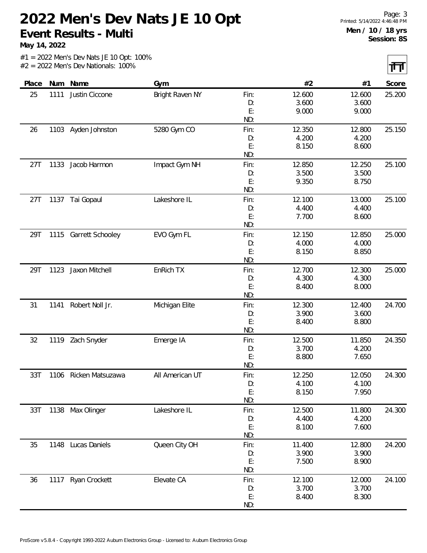**May 14, 2022**

|  | $#1 = 2022$ Men's Dev Nats JE 10 Opt: 100% |  |  |  |
|--|--------------------------------------------|--|--|--|
|  | $#2 = 2022$ Men's Dev Nationals: 100%      |  |  |  |

| Place |      | Num Name              | Gym             |           | #2              | #1              | Score  |
|-------|------|-----------------------|-----------------|-----------|-----------------|-----------------|--------|
| 25    | 1111 | Justin Ciccone        | Bright Raven NY | Fin:      | 12.600          | 12.600          | 25.200 |
|       |      |                       |                 | D:        | 3.600           | 3.600           |        |
|       |      |                       |                 | E:        | 9.000           | 9.000           |        |
|       |      |                       |                 | ND:       |                 |                 |        |
| 26    |      | 1103 Ayden Johnston   | 5280 Gym CO     | Fin:      | 12.350          | 12.800          | 25.150 |
|       |      |                       |                 | D:        | 4.200           | 4.200           |        |
|       |      |                       |                 | E:<br>ND: | 8.150           | 8.600           |        |
| 27T   | 1133 | Jacob Harmon          | Impact Gym NH   | Fin:      | 12.850          | 12.250          | 25.100 |
|       |      |                       |                 | D:        | 3.500           | 3.500           |        |
|       |      |                       |                 | E:        | 9.350           | 8.750           |        |
|       |      |                       |                 | ND:       |                 |                 |        |
| 27T   |      | 1137 Tai Gopaul       | Lakeshore IL    | Fin:      | 12.100          | 13.000          | 25.100 |
|       |      |                       |                 | D:        | 4.400           | 4.400           |        |
|       |      |                       |                 | E:        | 7.700           | 8.600           |        |
|       |      |                       |                 | ND:       |                 |                 |        |
| 29T   |      | 1115 Garrett Schooley | EVO Gym FL      | Fin:      | 12.150          | 12.850          | 25.000 |
|       |      |                       |                 | D:        | 4.000           | 4.000           |        |
|       |      |                       |                 | E:        | 8.150           | 8.850           |        |
|       |      |                       |                 | ND:       |                 |                 |        |
| 29T   | 1123 | Jaxon Mitchell        | EnRich TX       | Fin:      | 12.700          | 12.300          | 25.000 |
|       |      |                       |                 | D:        | 4.300           | 4.300           |        |
|       |      |                       |                 | E:        | 8.400           | 8.000           |        |
|       |      |                       |                 | ND:       |                 |                 |        |
| 31    | 1141 | Robert Noll Jr.       | Michigan Elite  | Fin:      | 12.300          | 12.400          | 24.700 |
|       |      |                       |                 | D:        | 3.900           | 3.600           |        |
|       |      |                       |                 | E:        | 8.400           | 8.800           |        |
|       |      |                       |                 | ND:       |                 |                 |        |
| 32    |      | 1119 Zach Snyder      | Emerge IA       | Fin:      | 12.500<br>3.700 | 11.850<br>4.200 | 24.350 |
|       |      |                       |                 | D:<br>E:  | 8.800           | 7.650           |        |
|       |      |                       |                 | ND:       |                 |                 |        |
| 33T   |      | 1106 Ricken Matsuzawa | All American UT | Fin:      | 12.250          | 12.050          | 24.300 |
|       |      |                       |                 | D:        | 4.100           | 4.100           |        |
|       |      |                       |                 | E:        | 8.150           | 7.950           |        |
|       |      |                       |                 | ND:       |                 |                 |        |
| 33T   |      | 1138 Max Olinger      | Lakeshore IL    | Fin:      | 12.500          | 11.800          | 24.300 |
|       |      |                       |                 | D:        | 4.400           | 4.200           |        |
|       |      |                       |                 | E:        | 8.100           | 7.600           |        |
|       |      |                       |                 | ND:       |                 |                 |        |
| 35    | 1148 | Lucas Daniels         | Queen City OH   | Fin:      | 11.400          | 12.800          | 24.200 |
|       |      |                       |                 | D:        | 3.900           | 3.900           |        |
|       |      |                       |                 | E:        | 7.500           | 8.900           |        |
|       |      |                       |                 | ND:       |                 |                 |        |
| 36    |      | 1117 Ryan Crockett    | Elevate CA      | Fin:      | 12.100          | 12.000          | 24.100 |
|       |      |                       |                 | D:        | 3.700           | 3.700           |        |
|       |      |                       |                 | E:        | 8.400           | 8.300           |        |
|       |      |                       |                 | ND:       |                 |                 |        |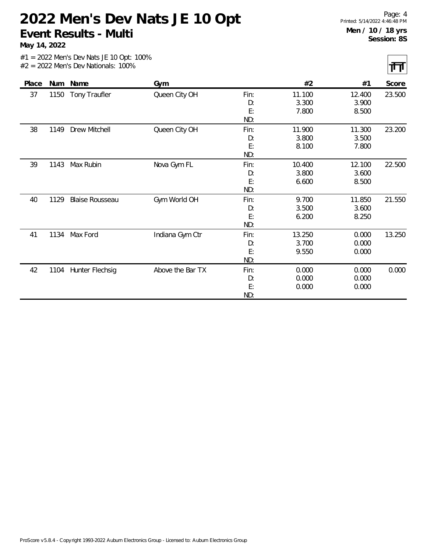**May 14, 2022**

त्ता

|  |  |                                       | $#1 = 2022$ Men's Dev Nats JE 10 Opt: 100% |
|--|--|---------------------------------------|--------------------------------------------|
|  |  | $#2 = 2022$ Men's Dev Nationals: 100% |                                            |

| Place | Num  | Name                   | Gym              |      | #2     | #1     | Score  |
|-------|------|------------------------|------------------|------|--------|--------|--------|
| 37    | 1150 | Tony Traufler          | Queen City OH    | Fin: | 11.100 | 12.400 | 23.500 |
|       |      |                        |                  | D:   | 3.300  | 3.900  |        |
|       |      |                        |                  | E:   | 7.800  | 8.500  |        |
|       |      |                        |                  | ND:  |        |        |        |
| 38    | 1149 | Drew Mitchell          | Queen City OH    | Fin: | 11.900 | 11.300 | 23.200 |
|       |      |                        |                  | D:   | 3.800  | 3.500  |        |
|       |      |                        |                  | E:   | 8.100  | 7.800  |        |
|       |      |                        |                  | ND:  |        |        |        |
| 39    | 1143 | Max Rubin              | Nova Gym FL      | Fin: | 10.400 | 12.100 | 22.500 |
|       |      |                        |                  | D:   | 3.800  | 3.600  |        |
|       |      |                        |                  | E:   | 6.600  | 8.500  |        |
|       |      |                        |                  | ND:  |        |        |        |
| 40    | 1129 | <b>Blaise Rousseau</b> | Gym World OH     | Fin: | 9.700  | 11.850 | 21.550 |
|       |      |                        |                  | D:   | 3.500  | 3.600  |        |
|       |      |                        |                  | E:   | 6.200  | 8.250  |        |
|       |      |                        |                  | ND:  |        |        |        |
| 41    | 1134 | Max Ford               | Indiana Gym Ctr  | Fin: | 13.250 | 0.000  | 13.250 |
|       |      |                        |                  | D:   | 3.700  | 0.000  |        |
|       |      |                        |                  | E:   | 9.550  | 0.000  |        |
|       |      |                        |                  | ND:  |        |        |        |
| 42    | 1104 | Hunter Flechsig        | Above the Bar TX | Fin: | 0.000  | 0.000  | 0.000  |
|       |      |                        |                  | D:   | 0.000  | 0.000  |        |
|       |      |                        |                  | E:   | 0.000  | 0.000  |        |
|       |      |                        |                  | ND:  |        |        |        |
|       |      |                        |                  |      |        |        |        |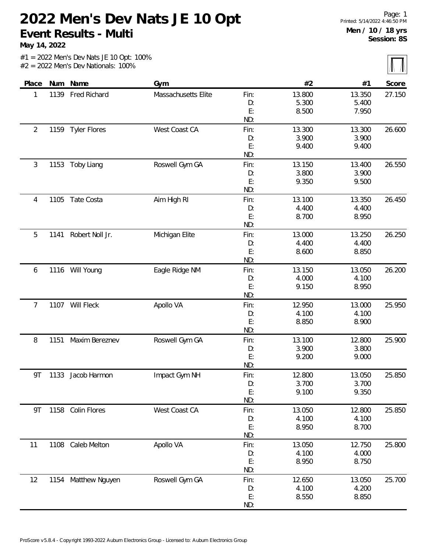**May 14, 2022**

|       |      | $#1 = 2022$ Men's Dev Nats JE 10 Opt: 100%<br>$#2 = 2022$ Men's Dev Nationals: 100% |                     |                         |                          |                          |        |
|-------|------|-------------------------------------------------------------------------------------|---------------------|-------------------------|--------------------------|--------------------------|--------|
| Place | Num  | Name                                                                                | Gym                 |                         | #2                       | #1                       | Score  |
|       | 1139 | Fred Richard                                                                        | Massachusetts Elite | Fin:<br>D:<br>E:<br>ND: | 13.800<br>5.300<br>8.500 | 13.350<br>5.400<br>7.950 | 27.150 |
|       | 1159 | Tyler Flores                                                                        | West Coast CA       | Fin:<br>D:              | 13.300<br>3.900          | 13.300<br>3.900          | 26.600 |

| $\overline{2}$ |      | 1159 Tyler Flores   | West Coast CA  | Fin:<br>D:<br>E:<br>ND: | 13.300<br>3.900<br>9.400 | 13.300<br>3.900<br>9.400 | 26.600 |
|----------------|------|---------------------|----------------|-------------------------|--------------------------|--------------------------|--------|
| 3              | 1153 | Toby Liang          | Roswell Gym GA | Fin:<br>D:<br>E:<br>ND: | 13.150<br>3.800<br>9.350 | 13.400<br>3.900<br>9.500 | 26.550 |
| 4              | 1105 | Tate Costa          | Aim High RI    | Fin:<br>D:<br>E:<br>ND: | 13.100<br>4.400<br>8.700 | 13.350<br>4.400<br>8.950 | 26.450 |
| 5              | 1141 | Robert Noll Jr.     | Michigan Elite | Fin:<br>D:<br>E:<br>ND: | 13.000<br>4.400<br>8.600 | 13.250<br>4.400<br>8.850 | 26.250 |
| 6              |      | 1116 Will Young     | Eagle Ridge NM | Fin:<br>D:<br>E:<br>ND: | 13.150<br>4.000<br>9.150 | 13.050<br>4.100<br>8.950 | 26.200 |
| 7              |      | 1107 Will Fleck     | Apollo VA      | Fin:<br>D:<br>E:<br>ND: | 12.950<br>4.100<br>8.850 | 13.000<br>4.100<br>8.900 | 25.950 |
| 8              | 1151 | Maxim Bereznev      | Roswell Gym GA | Fin:<br>D:<br>E:<br>ND: | 13.100<br>3.900<br>9.200 | 12.800<br>3.800<br>9.000 | 25.900 |
| 9Τ             | 1133 | Jacob Harmon        | Impact Gym NH  | Fin:<br>D:<br>E:<br>ND: | 12.800<br>3.700<br>9.100 | 13.050<br>3.700<br>9.350 | 25.850 |
| 9Τ             | 1158 | Colin Flores        | West Coast CA  | Fin:<br>D:<br>E:<br>ND: | 13.050<br>4.100<br>8.950 | 12.800<br>4.100<br>8.700 | 25.850 |
| 11             |      | 1108 Caleb Melton   | Apollo VA      | Fin:<br>D:<br>E:<br>ND: | 13.050<br>4.100<br>8.950 | 12.750<br>4.000<br>8.750 | 25.800 |
| 12             |      | 1154 Matthew Nguyen | Roswell Gym GA | Fin:<br>D:<br>E:<br>ND: | 12.650<br>4.100<br>8.550 | 13.050<br>4.200<br>8.850 | 25.700 |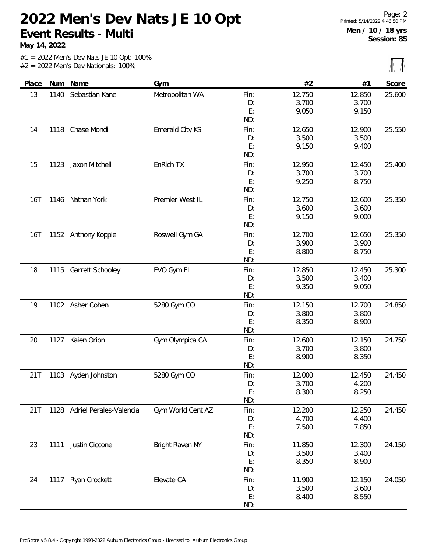**May 14, 2022**

 $\sqrt{N}$ 

|            |      |                              |                        |      |        |        | $\left  \Pi \right\rangle / \left  \Pi \right\rangle$ |
|------------|------|------------------------------|------------------------|------|--------|--------|-------------------------------------------------------|
| Place      |      | Num Name                     | Gym                    |      | #2     | #1     | Score                                                 |
| 13         | 1140 | Sebastian Kane               | Metropolitan WA        | Fin: | 12.750 | 12.850 | 25.600                                                |
|            |      |                              |                        | D:   | 3.700  | 3.700  |                                                       |
|            |      |                              |                        | E:   | 9.050  | 9.150  |                                                       |
|            |      |                              |                        | ND:  |        |        |                                                       |
| 14         | 1118 | Chase Mondi                  | Emerald City KS        | Fin: | 12.650 | 12.900 | 25.550                                                |
|            |      |                              |                        | D:   | 3.500  | 3.500  |                                                       |
|            |      |                              |                        | E:   | 9.150  | 9.400  |                                                       |
|            |      |                              |                        | ND:  |        |        |                                                       |
| 15         | 1123 | Jaxon Mitchell               | EnRich TX              | Fin: | 12.950 | 12.450 | 25.400                                                |
|            |      |                              |                        | D:   | 3.700  | 3.700  |                                                       |
|            |      |                              |                        | E:   | 9.250  | 8.750  |                                                       |
|            |      |                              |                        | ND:  |        |        |                                                       |
| 16T        |      | 1146 Nathan York             | Premier West IL        | Fin: | 12.750 | 12.600 | 25.350                                                |
|            |      |                              |                        | D:   | 3.600  | 3.600  |                                                       |
|            |      |                              |                        | E:   | 9.150  | 9.000  |                                                       |
|            |      |                              |                        | ND:  |        |        |                                                       |
| <b>16T</b> |      | 1152 Anthony Koppie          | Roswell Gym GA         | Fin: | 12.700 | 12.650 | 25.350                                                |
|            |      |                              |                        | D:   | 3.900  | 3.900  |                                                       |
|            |      |                              |                        | E:   | 8.800  | 8.750  |                                                       |
|            |      |                              |                        | ND:  |        |        |                                                       |
| 18         | 1115 | Garrett Schooley             | EVO Gym FL             | Fin: | 12.850 | 12.450 | 25.300                                                |
|            |      |                              |                        | D:   | 3.500  | 3.400  |                                                       |
|            |      |                              |                        | E:   | 9.350  | 9.050  |                                                       |
|            |      |                              |                        | ND:  |        |        |                                                       |
| 19         |      | 1102 Asher Cohen             | 5280 Gym CO            | Fin: | 12.150 | 12.700 | 24.850                                                |
|            |      |                              |                        | D:   | 3.800  | 3.800  |                                                       |
|            |      |                              |                        | E:   | 8.350  | 8.900  |                                                       |
|            |      |                              |                        | ND:  |        |        |                                                       |
| 20         | 1127 | Kaien Orion                  | Gym Olympica CA        | Fin: | 12.600 | 12.150 | 24.750                                                |
|            |      |                              |                        | D:   | 3.700  | 3.800  |                                                       |
|            |      |                              |                        | E:   | 8.900  | 8.350  |                                                       |
|            |      |                              |                        | ND:  |        |        |                                                       |
| 21T        |      | 1103 Ayden Johnston          | 5280 Gym CO            | Fin: | 12.000 | 12.450 | 24.450                                                |
|            |      |                              |                        | D:   | 3.700  | 4.200  |                                                       |
|            |      |                              |                        | E:   | 8.300  | 8.250  |                                                       |
|            |      |                              |                        | ND:  |        |        |                                                       |
| 21T        |      | 1128 Adriel Perales-Valencia | Gym World Cent AZ      | Fin: | 12.200 | 12.250 | 24.450                                                |
|            |      |                              |                        | D:   | 4.700  | 4.400  |                                                       |
|            |      |                              |                        | E:   | 7.500  | 7.850  |                                                       |
|            |      |                              |                        | ND:  |        |        |                                                       |
| 23         | 1111 | Justin Ciccone               | <b>Bright Raven NY</b> | Fin: | 11.850 | 12.300 | 24.150                                                |
|            |      |                              |                        | D:   | 3.500  | 3.400  |                                                       |
|            |      |                              |                        | E:   | 8.350  | 8.900  |                                                       |
|            |      |                              |                        | ND:  |        |        |                                                       |
| 24         |      | 1117 Ryan Crockett           | Elevate CA             | Fin: | 11.900 | 12.150 | 24.050                                                |
|            |      |                              |                        | D:   | 3.500  | 3.600  |                                                       |
|            |      |                              |                        | E:   | 8.400  | 8.550  |                                                       |
|            |      |                              |                        | ND:  |        |        |                                                       |
|            |      |                              |                        |      |        |        |                                                       |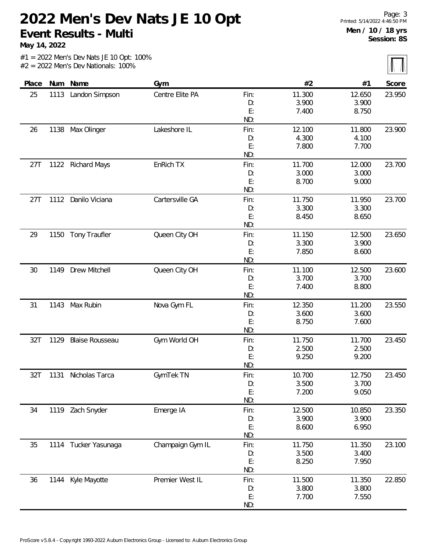**May 14, 2022**

 $\overline{\mathbf{M}}$ 

|       |      |                        |                  |            |        |        | $\frac{1}{2}$ |
|-------|------|------------------------|------------------|------------|--------|--------|---------------|
| Place | Num  | Name                   | Gym              |            | #2     | #1     | Score         |
| 25    | 1113 | Landon Simpson         | Centre Elite PA  | Fin:       | 11.300 | 12.650 | 23.950        |
|       |      |                        |                  | D:         | 3.900  | 3.900  |               |
|       |      |                        |                  | E:         | 7.400  | 8.750  |               |
|       |      |                        |                  | ND:        |        |        |               |
| 26    | 1138 | Max Olinger            | Lakeshore IL     | Fin:       | 12.100 | 11.800 | 23.900        |
|       |      |                        |                  | D:         | 4.300  | 4.100  |               |
|       |      |                        |                  | E:         | 7.800  | 7.700  |               |
|       |      |                        |                  | ND:        |        |        |               |
| 27T   |      | 1122 Richard Mays      | EnRich TX        | Fin:       | 11.700 | 12.000 | 23.700        |
|       |      |                        |                  | D:         | 3.000  | 3.000  |               |
|       |      |                        |                  | E:         | 8.700  | 9.000  |               |
|       |      |                        |                  | ND:        |        |        |               |
| 27T   | 1112 | Danilo Viciana         | Cartersville GA  | Fin:       | 11.750 | 11.950 | 23.700        |
|       |      |                        |                  | D:         | 3.300  | 3.300  |               |
|       |      |                        |                  | E:         | 8.450  | 8.650  |               |
|       |      |                        |                  | ND:        |        |        |               |
| 29    |      | 1150 Tony Traufler     | Queen City OH    | Fin:       | 11.150 | 12.500 | 23.650        |
|       |      |                        |                  | D:         | 3.300  | 3.900  |               |
|       |      |                        |                  | E:         | 7.850  | 8.600  |               |
|       |      |                        |                  | ND:        |        |        |               |
| 30    | 1149 | Drew Mitchell          | Queen City OH    | Fin:       | 11.100 | 12.500 | 23.600        |
|       |      |                        |                  | D:         | 3.700  | 3.700  |               |
|       |      |                        |                  | E:         | 7.400  | 8.800  |               |
|       |      |                        |                  | ND:        |        |        |               |
| 31    | 1143 | Max Rubin              | Nova Gym FL      | Fin:       | 12.350 | 11.200 | 23.550        |
|       |      |                        |                  | D:         | 3.600  | 3.600  |               |
|       |      |                        |                  | E:<br>ND:  | 8.750  | 7.600  |               |
| 32T   |      | <b>Blaise Rousseau</b> |                  |            | 11.750 | 11.700 | 23.450        |
|       | 1129 |                        | Gym World OH     | Fin:<br>D: | 2.500  | 2.500  |               |
|       |      |                        |                  | E:         | 9.250  | 9.200  |               |
|       |      |                        |                  | ND:        |        |        |               |
| 32T   | 1131 | Nicholas Tarca         | GymTek TN        | Fin:       | 10.700 | 12.750 | 23.450        |
|       |      |                        |                  | D:         | 3.500  | 3.700  |               |
|       |      |                        |                  | E:         | 7.200  | 9.050  |               |
|       |      |                        |                  | ND:        |        |        |               |
| 34    |      | 1119 Zach Snyder       | Emerge IA        | Fin:       | 12.500 | 10.850 | 23.350        |
|       |      |                        |                  | D:         | 3.900  | 3.900  |               |
|       |      |                        |                  | E:         | 8.600  | 6.950  |               |
|       |      |                        |                  | ND:        |        |        |               |
| 35    | 1114 | Tucker Yasunaga        | Champaign Gym IL | Fin:       | 11.750 | 11.350 | 23.100        |
|       |      |                        |                  | D:         | 3.500  | 3.400  |               |
|       |      |                        |                  | E:         | 8.250  | 7.950  |               |
|       |      |                        |                  | ND:        |        |        |               |
| 36    |      | 1144 Kyle Mayotte      | Premier West IL  | Fin:       | 11.500 | 11.350 | 22.850        |
|       |      |                        |                  | D:         | 3.800  | 3.800  |               |
|       |      |                        |                  | E:         | 7.700  | 7.550  |               |
|       |      |                        |                  | ND:        |        |        |               |